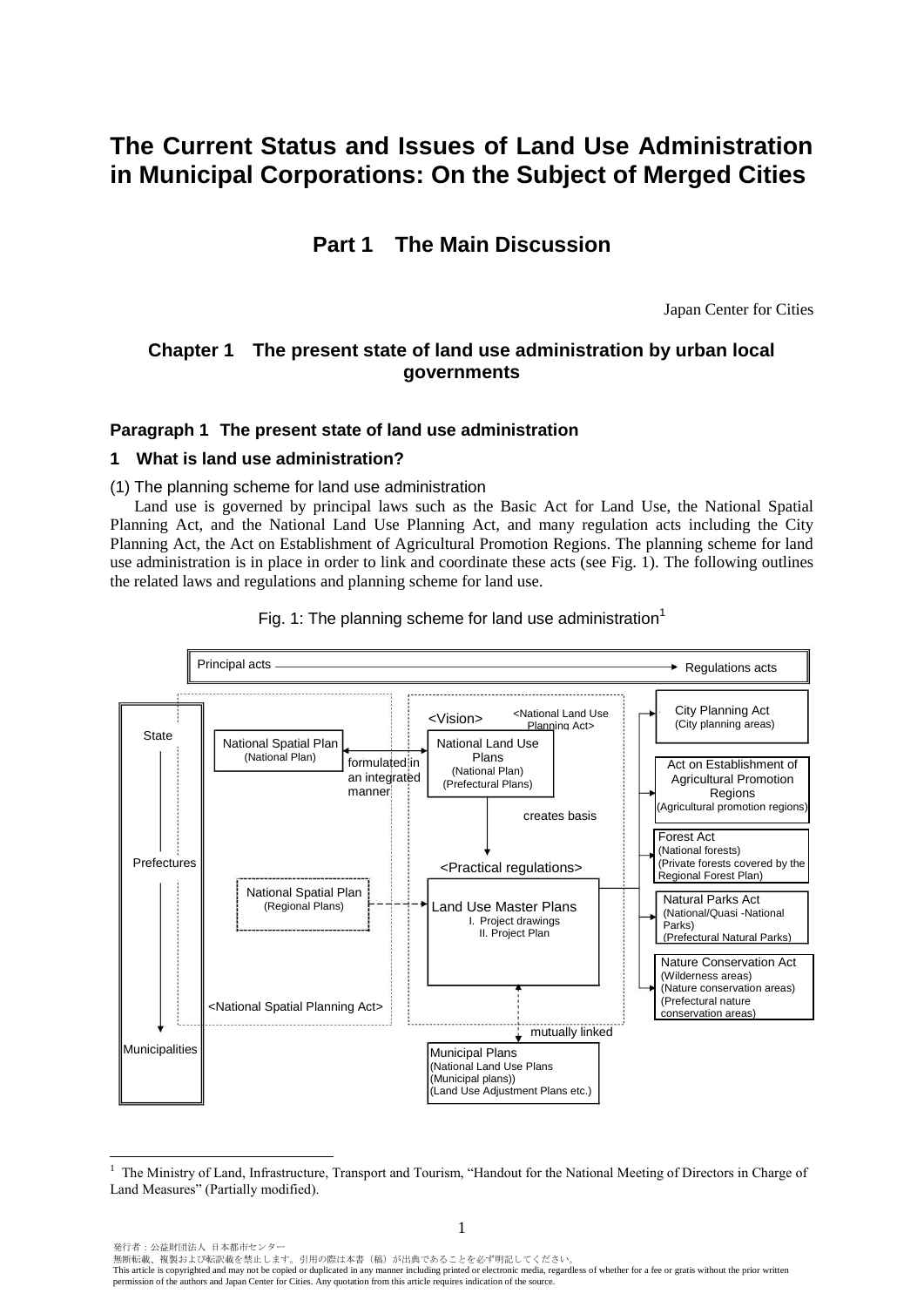# **The Current Status and Issues of Land Use Administration in Municipal Corporations: On the Subject of Merged Cities**

## **Part 1 The Main Discussion**

Japan Center for Cities

## **Chapter 1 The present state of land use administration by urban local governments**

## **Paragraph 1 The present state of land use administration**

## **1 What is land use administration?**

 $\overline{a}$ 

(1) The planning scheme for land use administration

Land use is governed by principal laws such as the Basic Act for Land Use, the National Spatial Planning Act, and the National Land Use Planning Act, and many regulation acts including the City Planning Act, the Act on Establishment of Agricultural Promotion Regions. The planning scheme for land use administration is in place in order to link and coordinate these acts (see Fig. 1). The following outlines the related laws and regulations and planning scheme for land use.



Fig. 1: The planning scheme for land use administration<sup>1</sup>

<sup>1</sup> The Ministry of Land, Infrastructure, Transport and Tourism, "Handout for the National Meeting of Directors in Charge of Land Measures" (Partially modified).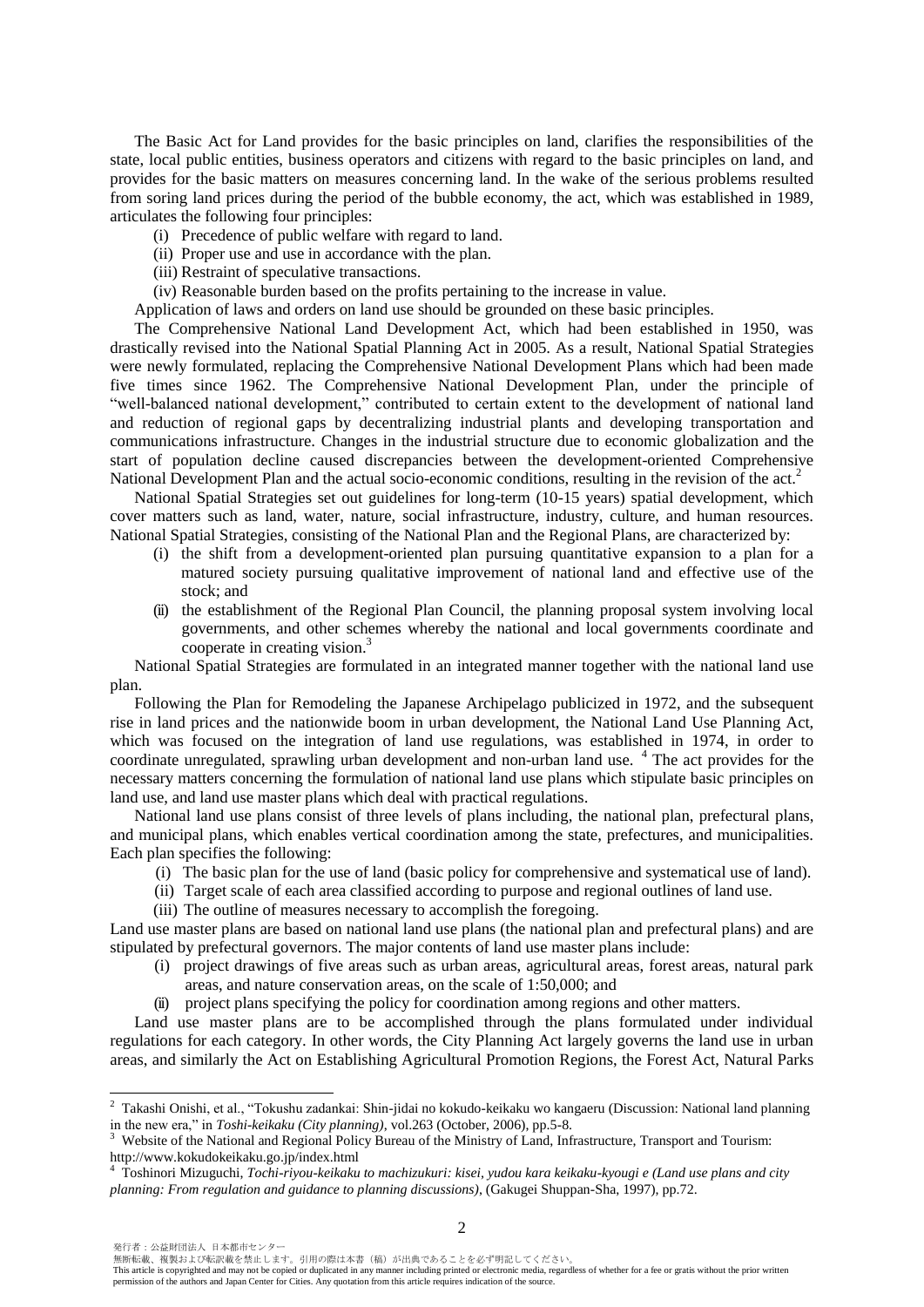The Basic Act for Land provides for the basic principles on land, clarifies the responsibilities of the state, local public entities, business operators and citizens with regard to the basic principles on land, and provides for the basic matters on measures concerning land. In the wake of the serious problems resulted from soring land prices during the period of the bubble economy, the act, which was established in 1989, articulates the following four principles:

- (i) Precedence of public welfare with regard to land.
- (ii) Proper use and use in accordance with the plan.
- (iii) Restraint of speculative transactions.
- (iv) Reasonable burden based on the profits pertaining to the increase in value.

Application of laws and orders on land use should be grounded on these basic principles.

The Comprehensive National Land Development Act, which had been established in 1950, was drastically revised into the National Spatial Planning Act in 2005. As a result, National Spatial Strategies were newly formulated, replacing the Comprehensive National Development Plans which had been made five times since 1962. The Comprehensive National Development Plan, under the principle of "well-balanced national development," contributed to certain extent to the development of national land and reduction of regional gaps by decentralizing industrial plants and developing transportation and communications infrastructure. Changes in the industrial structure due to economic globalization and the start of population decline caused discrepancies between the development-oriented Comprehensive National Development Plan and the actual socio-economic conditions, resulting in the revision of the act.<sup>2</sup>

National Spatial Strategies set out guidelines for long-term (10-15 years) spatial development, which cover matters such as land, water, nature, social infrastructure, industry, culture, and human resources. National Spatial Strategies, consisting of the National Plan and the Regional Plans, are characterized by:

- (i) the shift from a development-oriented plan pursuing quantitative expansion to a plan for a matured society pursuing qualitative improvement of national land and effective use of the stock; and
- (ii) the establishment of the Regional Plan Council, the planning proposal system involving local governments, and other schemes whereby the national and local governments coordinate and cooperate in creating vision.<sup>3</sup>

National Spatial Strategies are formulated in an integrated manner together with the national land use plan.

Following the Plan for Remodeling the Japanese Archipelago publicized in 1972, and the subsequent rise in land prices and the nationwide boom in urban development, the National Land Use Planning Act, which was focused on the integration of land use regulations, was established in 1974, in order to coordinate unregulated, sprawling urban development and non-urban land use.<sup>4</sup> The act provides for the necessary matters concerning the formulation of national land use plans which stipulate basic principles on land use, and land use master plans which deal with practical regulations.

National land use plans consist of three levels of plans including, the national plan, prefectural plans, and municipal plans, which enables vertical coordination among the state, prefectures, and municipalities. Each plan specifies the following:

- (i) The basic plan for the use of land (basic policy for comprehensive and systematical use of land).
- (ii) Target scale of each area classified according to purpose and regional outlines of land use.
- (iii) The outline of measures necessary to accomplish the foregoing.

Land use master plans are based on national land use plans (the national plan and prefectural plans) and are stipulated by prefectural governors. The major contents of land use master plans include:

- (i) project drawings of five areas such as urban areas, agricultural areas, forest areas, natural park areas, and nature conservation areas, on the scale of 1:50,000; and
- (ii) project plans specifying the policy for coordination among regions and other matters.

Land use master plans are to be accomplished through the plans formulated under individual regulations for each category. In other words, the City Planning Act largely governs the land use in urban areas, and similarly the Act on Establishing Agricultural Promotion Regions, the Forest Act, Natural Parks

 $\overline{a}$ 

無断転載、複製および転訳載を禁止します。引用の際は本書(稿)が出典であることを必ず明記してください。

<sup>2</sup> Takashi Onishi, et al., "Tokushu zadankai: Shin-jidai no kokudo-keikaku wo kangaeru (Discussion: National land planning in the new era," in *Toshi-keikaku (City planning)*, vol.263 (October, 2006), pp.5-8.

<sup>3</sup> Website of the National and Regional Policy Bureau of the Ministry of Land, Infrastructure, Transport and Tourism: http://www.kokudokeikaku.go.jp/index.html

<sup>4</sup> Toshinori Mizuguchi, *Tochi-riyou-keikaku to machizukuri: kisei, yudou kara keikaku-kyougi e (Land use plans and city planning: From regulation and guidance to planning discussions)*, (Gakugei Shuppan-Sha, 1997), pp.72.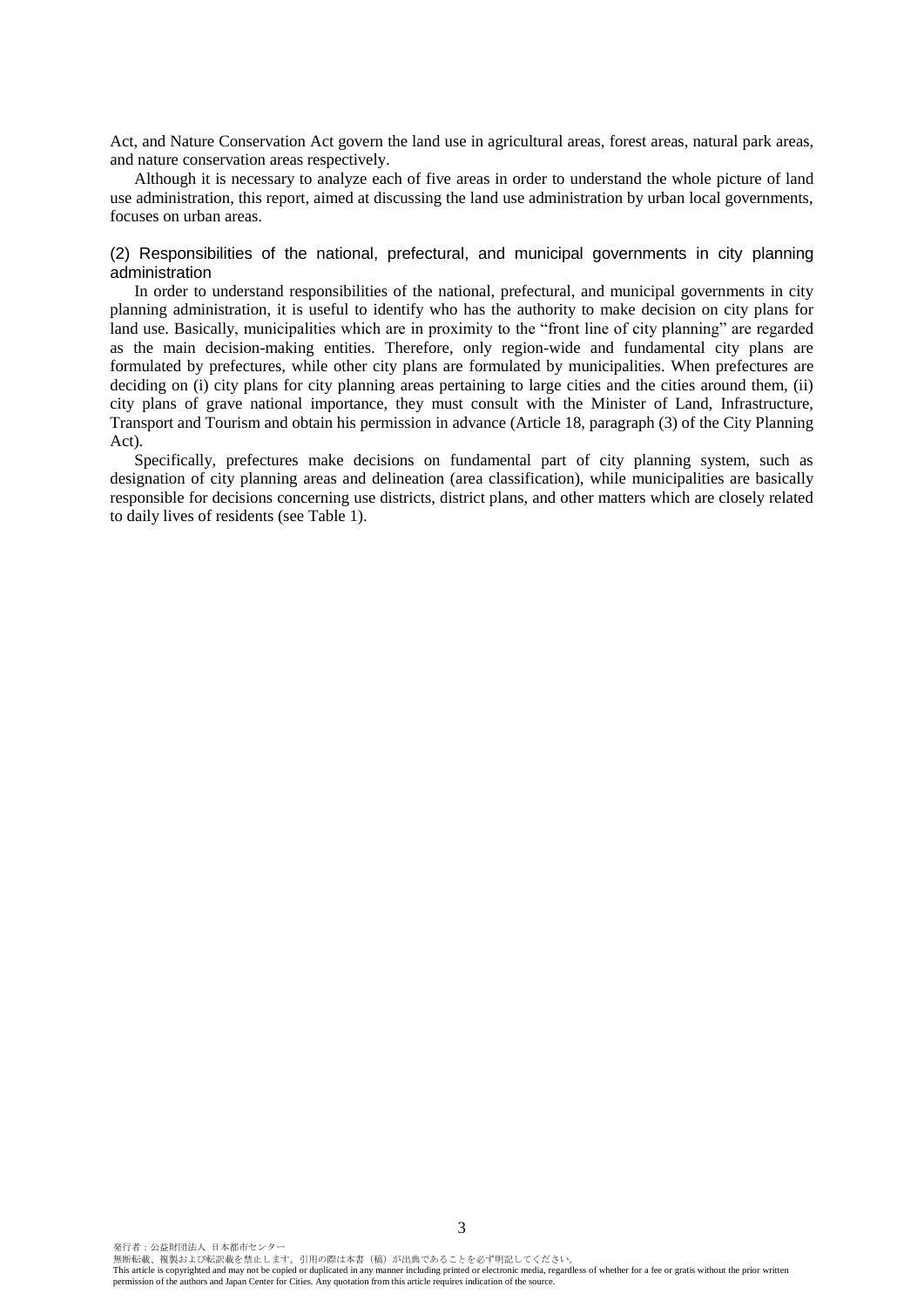Act, and Nature Conservation Act govern the land use in agricultural areas, forest areas, natural park areas, and nature conservation areas respectively.

Although it is necessary to analyze each of five areas in order to understand the whole picture of land use administration, this report, aimed at discussing the land use administration by urban local governments, focuses on urban areas.

(2) Responsibilities of the national, prefectural, and municipal governments in city planning administration

In order to understand responsibilities of the national, prefectural, and municipal governments in city planning administration, it is useful to identify who has the authority to make decision on city plans for land use. Basically, municipalities which are in proximity to the "front line of city planning" are regarded as the main decision-making entities. Therefore, only region-wide and fundamental city plans are formulated by prefectures, while other city plans are formulated by municipalities. When prefectures are deciding on (i) city plans for city planning areas pertaining to large cities and the cities around them, (ii) city plans of grave national importance, they must consult with the Minister of Land, Infrastructure, Transport and Tourism and obtain his permission in advance (Article 18, paragraph (3) of the City Planning Act).

Specifically, prefectures make decisions on fundamental part of city planning system, such as designation of city planning areas and delineation (area classification), while municipalities are basically responsible for decisions concerning use districts, district plans, and other matters which are closely related to daily lives of residents (see Table 1).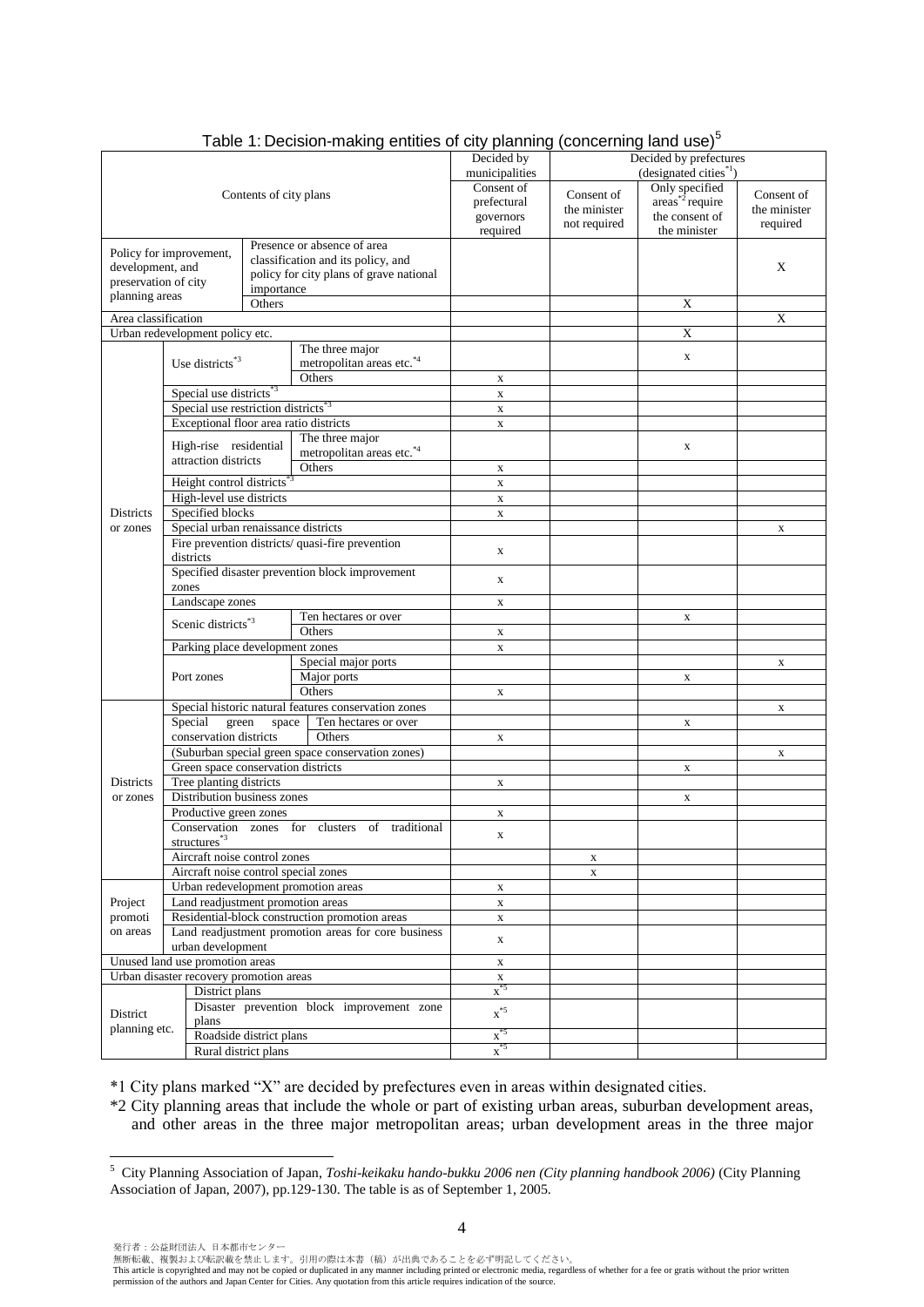|                                                                 |                                                                            |                         | Table 1: Decision-making entities of city planning   |                   | (concerning land use) |                                    |              |
|-----------------------------------------------------------------|----------------------------------------------------------------------------|-------------------------|------------------------------------------------------|-------------------|-----------------------|------------------------------------|--------------|
|                                                                 |                                                                            |                         |                                                      | Decided by        |                       | Decided by prefectures             |              |
|                                                                 |                                                                            |                         |                                                      | municipalities    |                       | (designated cities <sup>*1</sup> ) |              |
|                                                                 |                                                                            | Contents of city plans  |                                                      | Consent of        | Consent of            | Only specified                     | Consent of   |
|                                                                 |                                                                            |                         |                                                      | prefectural       | the minister          | $\arcsin^{*2}$ require             | the minister |
|                                                                 |                                                                            |                         |                                                      | governors         | not required          | the consent of                     | required     |
|                                                                 |                                                                            |                         |                                                      | required          |                       | the minister                       |              |
|                                                                 | Policy for improvement,                                                    |                         | Presence or absence of area                          |                   |                       |                                    |              |
| development, and                                                |                                                                            |                         | classification and its policy, and                   |                   |                       |                                    | X            |
| preservation of city                                            |                                                                            |                         | policy for city plans of grave national              |                   |                       |                                    |              |
|                                                                 |                                                                            | importance              |                                                      |                   |                       |                                    |              |
| planning areas                                                  |                                                                            | Others                  |                                                      |                   |                       | X                                  |              |
| Area classification                                             |                                                                            |                         |                                                      |                   |                       |                                    | X            |
|                                                                 | Urban redevelopment policy etc.                                            |                         |                                                      |                   |                       | X                                  |              |
|                                                                 |                                                                            |                         | The three major                                      |                   |                       |                                    |              |
|                                                                 | Use districts <sup>*3</sup>                                                |                         | metropolitan areas etc.*4                            |                   |                       | $\mathbf X$                        |              |
|                                                                 |                                                                            |                         | Others                                               | $\mathbf x$       |                       |                                    |              |
|                                                                 | Special use districts <sup>*3</sup>                                        |                         |                                                      | $\mathbf X$       |                       |                                    |              |
|                                                                 | Special use restriction districts <sup>*3</sup>                            |                         |                                                      | $\mathbf x$       |                       |                                    |              |
|                                                                 | Exceptional floor area ratio districts                                     |                         |                                                      | $\mathbf x$       |                       |                                    |              |
|                                                                 |                                                                            |                         | The three major                                      |                   |                       |                                    |              |
|                                                                 | High-rise residential                                                      |                         | metropolitan areas etc.*4                            |                   |                       | X                                  |              |
|                                                                 | attraction districts<br>Others                                             |                         |                                                      | $\mathbf X$       |                       |                                    |              |
|                                                                 |                                                                            |                         |                                                      |                   |                       |                                    |              |
|                                                                 | Height control districts <sup>*3</sup>                                     |                         |                                                      | $\mathbf x$       |                       |                                    |              |
|                                                                 | High-level use districts                                                   |                         |                                                      | $\mathbf X$       |                       |                                    |              |
| <b>Districts</b>                                                | Specified blocks                                                           |                         |                                                      | $\mathbf X$       |                       |                                    |              |
| or zones                                                        | Special urban renaissance districts                                        |                         |                                                      |                   |                       |                                    | $\mathbf X$  |
|                                                                 | districts                                                                  |                         | Fire prevention districts/ quasi-fire prevention     | X                 |                       |                                    |              |
|                                                                 |                                                                            |                         | Specified disaster prevention block improvement      |                   |                       |                                    |              |
|                                                                 | zones                                                                      |                         |                                                      | X                 |                       |                                    |              |
|                                                                 | Landscape zones                                                            |                         |                                                      | $\mathbf X$       |                       |                                    |              |
|                                                                 |                                                                            |                         | Ten hectares or over                                 |                   |                       | $\mathbf X$                        |              |
|                                                                 | Scenic districts <sup>*3</sup>                                             |                         | Others                                               | $\mathbf x$       |                       |                                    |              |
|                                                                 | Parking place development zones                                            |                         |                                                      | X                 |                       |                                    |              |
|                                                                 |                                                                            |                         | Special major ports                                  |                   |                       |                                    | $\mathbf X$  |
|                                                                 | Port zones                                                                 |                         | Major ports                                          |                   |                       | $\mathbf X$                        |              |
|                                                                 |                                                                            |                         | Others                                               | X                 |                       |                                    |              |
|                                                                 |                                                                            |                         | Special historic natural features conservation zones |                   |                       |                                    | X            |
|                                                                 | Special<br>green                                                           | space                   | Ten hectares or over                                 |                   |                       | X                                  |              |
|                                                                 | conservation districts                                                     |                         | Others                                               |                   |                       |                                    |              |
|                                                                 |                                                                            |                         |                                                      | X                 |                       |                                    |              |
|                                                                 |                                                                            |                         | (Suburban special green space conservation zones)    |                   |                       |                                    | X            |
|                                                                 | Green space conservation districts                                         |                         |                                                      |                   |                       | X                                  |              |
| <b>Districts</b>                                                | Tree planting districts                                                    |                         |                                                      | X                 |                       |                                    |              |
| or zones                                                        | Distribution business zones                                                |                         |                                                      |                   |                       | X                                  |              |
|                                                                 | Productive green zones                                                     |                         |                                                      | X                 |                       |                                    |              |
|                                                                 |                                                                            |                         | Conservation zones for clusters of traditional       | $\mathbf{x}$      |                       |                                    |              |
|                                                                 | structures <sup>*3</sup>                                                   |                         |                                                      |                   |                       |                                    |              |
|                                                                 | Aircraft noise control zones                                               |                         |                                                      |                   | $\mathbf X$           |                                    |              |
| Aircraft noise control special zones                            |                                                                            |                         |                                                      |                   | $\mathbf X$           |                                    |              |
| Urban redevelopment promotion areas                             |                                                                            |                         |                                                      | X                 |                       |                                    |              |
| Land readjustment promotion areas<br>Project                    |                                                                            |                         |                                                      | $\mathbf X$       |                       |                                    |              |
| promoti<br>Residential-block construction promotion areas       |                                                                            |                         |                                                      | X                 |                       |                                    |              |
| on areas<br>Land readjustment promotion areas for core business |                                                                            |                         |                                                      |                   |                       |                                    |              |
| urban development                                               |                                                                            |                         |                                                      | X                 |                       |                                    |              |
|                                                                 | Unused land use promotion areas<br>Urban disaster recovery promotion areas |                         |                                                      | X<br>$\mathbf X$  |                       |                                    |              |
|                                                                 | District plans                                                             |                         |                                                      | $x^{*5}$          |                       |                                    |              |
|                                                                 |                                                                            |                         | Disaster prevention block improvement zone           |                   |                       |                                    |              |
| District<br>planning etc.                                       | plans                                                                      |                         |                                                      | $\mathbf{x}^{*5}$ |                       |                                    |              |
|                                                                 |                                                                            | Roadside district plans |                                                      | $\mathbf{x}^{*5}$ |                       |                                    |              |
|                                                                 |                                                                            | Rural district plans    |                                                      | $x^{*5}$          |                       |                                    |              |

## Table 1: Decision-making entities of city planning (concerning land use) $5$

\*1 City plans marked "X" are decided by prefectures even in areas within designated cities.

\*2 City planning areas that include the whole or part of existing urban areas, suburban development areas, and other areas in the three major metropolitan areas; urban development areas in the three major

 $\overline{a}$ 

<sup>5</sup> City Planning Association of Japan, *Toshi-keikaku hando-bukku 2006 nen (City planning handbook 2006)* (City Planning Association of Japan, 2007), pp.129-130. The table is as of September 1, 2005.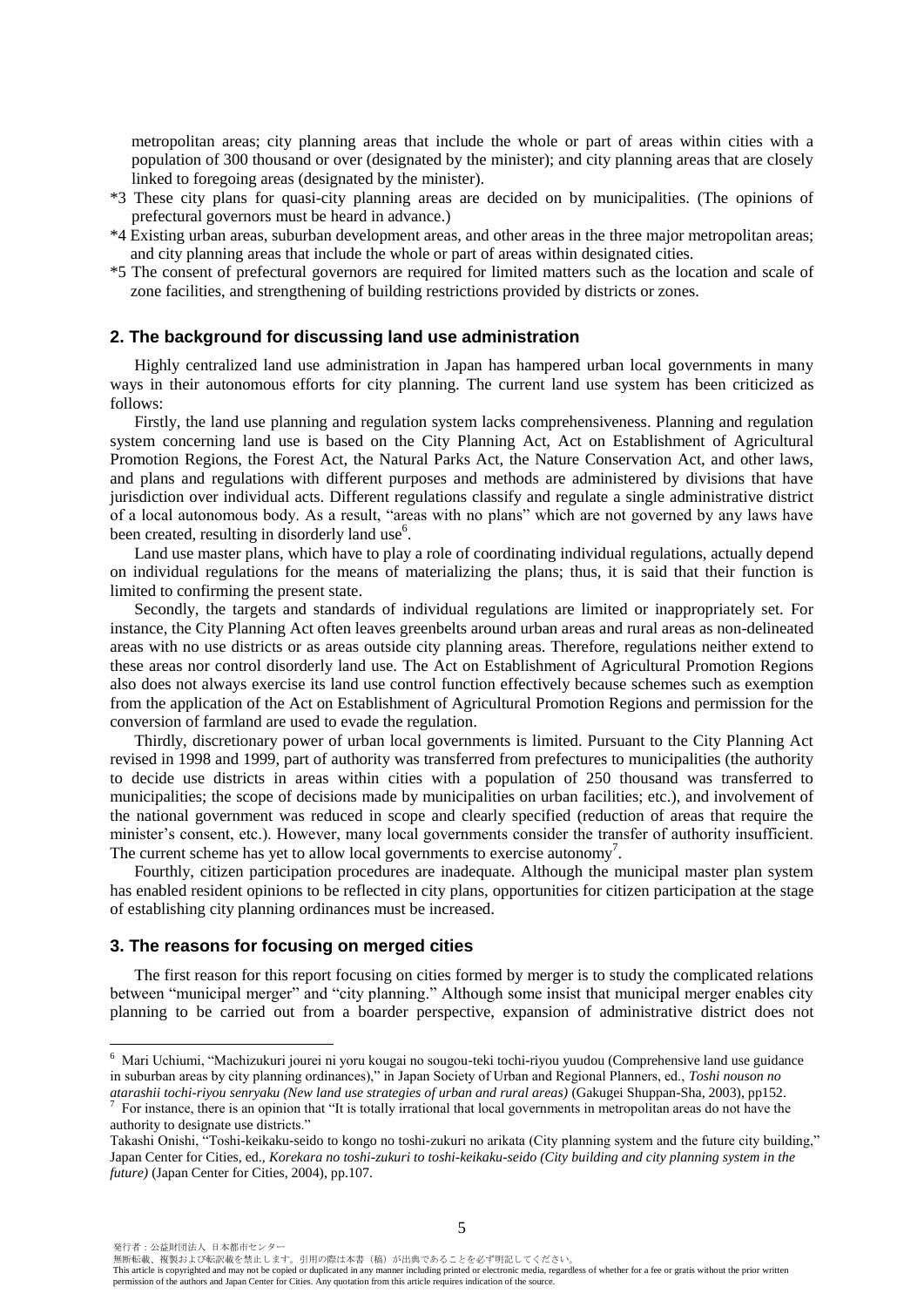metropolitan areas; city planning areas that include the whole or part of areas within cities with a population of 300 thousand or over (designated by the minister); and city planning areas that are closely linked to foregoing areas (designated by the minister).

- \*3 These city plans for quasi-city planning areas are decided on by municipalities. (The opinions of prefectural governors must be heard in advance.)
- \*4 Existing urban areas, suburban development areas, and other areas in the three major metropolitan areas; and city planning areas that include the whole or part of areas within designated cities.
- \*5 The consent of prefectural governors are required for limited matters such as the location and scale of zone facilities, and strengthening of building restrictions provided by districts or zones.

#### **2. The background for discussing land use administration**

Highly centralized land use administration in Japan has hampered urban local governments in many ways in their autonomous efforts for city planning. The current land use system has been criticized as follows:

Firstly, the land use planning and regulation system lacks comprehensiveness. Planning and regulation system concerning land use is based on the City Planning Act, Act on Establishment of Agricultural Promotion Regions, the Forest Act, the Natural Parks Act, the Nature Conservation Act, and other laws, and plans and regulations with different purposes and methods are administered by divisions that have jurisdiction over individual acts. Different regulations classify and regulate a single administrative district of a local autonomous body. As a result, "areas with no plans" which are not governed by any laws have been created, resulting in disorderly land use<sup>6</sup>.

Land use master plans, which have to play a role of coordinating individual regulations, actually depend on individual regulations for the means of materializing the plans; thus, it is said that their function is limited to confirming the present state.

Secondly, the targets and standards of individual regulations are limited or inappropriately set. For instance, the City Planning Act often leaves greenbelts around urban areas and rural areas as non-delineated areas with no use districts or as areas outside city planning areas. Therefore, regulations neither extend to these areas nor control disorderly land use. The Act on Establishment of Agricultural Promotion Regions also does not always exercise its land use control function effectively because schemes such as exemption from the application of the Act on Establishment of Agricultural Promotion Regions and permission for the conversion of farmland are used to evade the regulation.

Thirdly, discretionary power of urban local governments is limited. Pursuant to the City Planning Act revised in 1998 and 1999, part of authority was transferred from prefectures to municipalities (the authority to decide use districts in areas within cities with a population of 250 thousand was transferred to municipalities; the scope of decisions made by municipalities on urban facilities; etc.), and involvement of the national government was reduced in scope and clearly specified (reduction of areas that require the minister's consent, etc.). However, many local governments consider the transfer of authority insufficient. The current scheme has yet to allow local governments to exercise autonomy<sup>7</sup>.

Fourthly, citizen participation procedures are inadequate. Although the municipal master plan system has enabled resident opinions to be reflected in city plans, opportunities for citizen participation at the stage of establishing city planning ordinances must be increased.

#### **3. The reasons for focusing on merged cities**

The first reason for this report focusing on cities formed by merger is to study the complicated relations between "municipal merger" and "city planning." Although some insist that municipal merger enables city planning to be carried out from a boarder perspective, expansion of administrative district does not

 $\overline{a}$ 

無断転載、複製および転訳載を禁止します。引用の際は本書(稿)が出典であることを必ず明記してください。

<sup>6</sup> Mari Uchiumi, "Machizukuri jourei ni yoru kougai no sougou-teki tochi-riyou yuudou (Comprehensive land use guidance in suburban areas by city planning ordinances)," in Japan Society of Urban and Regional Planners, ed., *Toshi nouson no atarashii tochi-riyou senryaku (New land use strategies of urban and rural areas)* (Gakugei Shuppan-Sha, 2003), pp152.

<sup>7</sup> For instance, there is an opinion that "It is totally irrational that local governments in metropolitan areas do not have the authority to designate use districts."

Takashi Onishi, "Toshi-keikaku-seido to kongo no toshi-zukuri no arikata (City planning system and the future city building," Japan Center for Cities, ed., *Korekara no toshi-zukuri to toshi-keikaku-seido (City building and city planning system in the future)* (Japan Center for Cities, 2004), pp.107.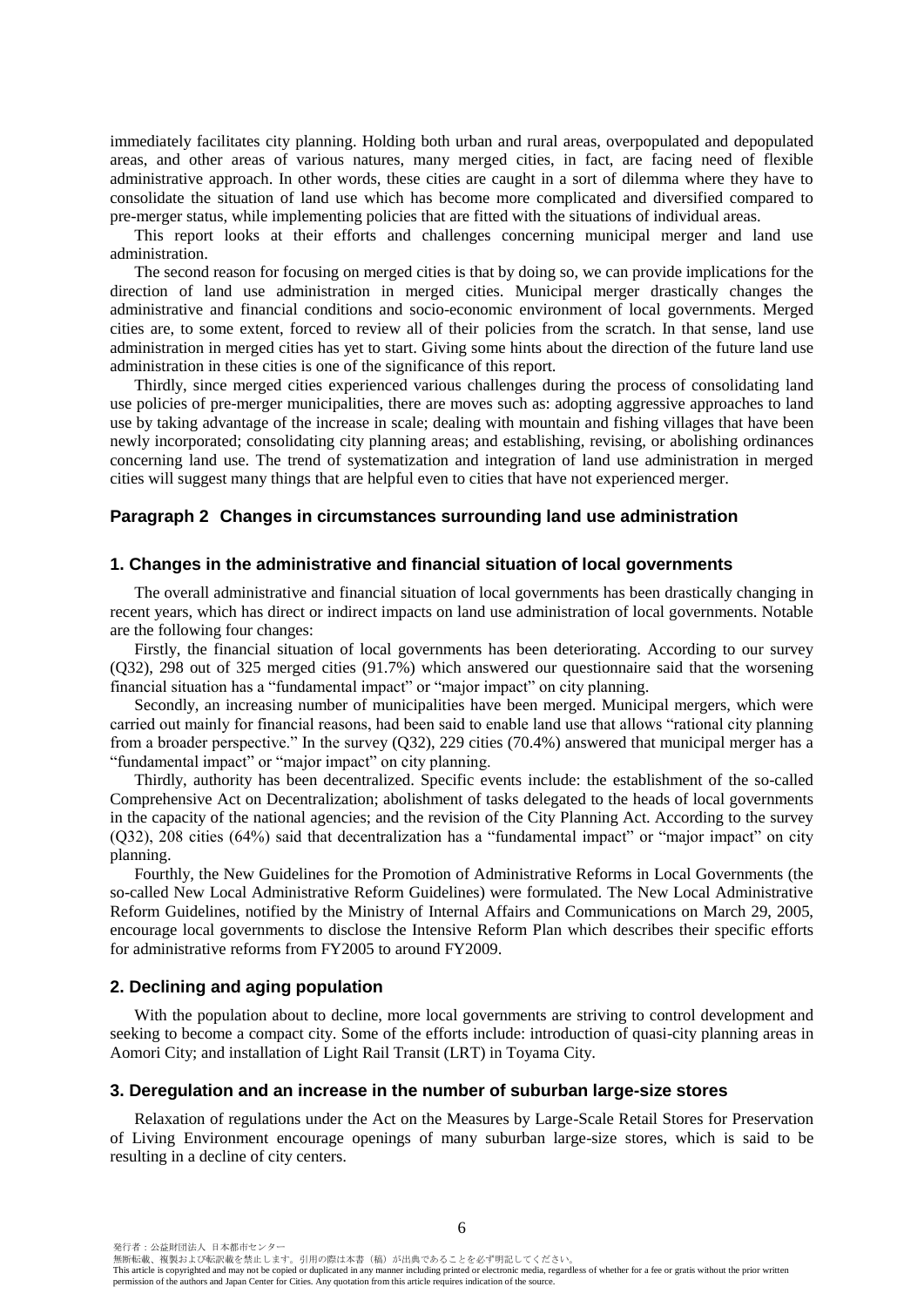immediately facilitates city planning. Holding both urban and rural areas, overpopulated and depopulated areas, and other areas of various natures, many merged cities, in fact, are facing need of flexible administrative approach. In other words, these cities are caught in a sort of dilemma where they have to consolidate the situation of land use which has become more complicated and diversified compared to pre-merger status, while implementing policies that are fitted with the situations of individual areas.

This report looks at their efforts and challenges concerning municipal merger and land use administration.

The second reason for focusing on merged cities is that by doing so, we can provide implications for the direction of land use administration in merged cities. Municipal merger drastically changes the administrative and financial conditions and socio-economic environment of local governments. Merged cities are, to some extent, forced to review all of their policies from the scratch. In that sense, land use administration in merged cities has yet to start. Giving some hints about the direction of the future land use administration in these cities is one of the significance of this report.

Thirdly, since merged cities experienced various challenges during the process of consolidating land use policies of pre-merger municipalities, there are moves such as: adopting aggressive approaches to land use by taking advantage of the increase in scale; dealing with mountain and fishing villages that have been newly incorporated; consolidating city planning areas; and establishing, revising, or abolishing ordinances concerning land use. The trend of systematization and integration of land use administration in merged cities will suggest many things that are helpful even to cities that have not experienced merger.

## **Paragraph 2 Changes in circumstances surrounding land use administration**

## **1. Changes in the administrative and financial situation of local governments**

The overall administrative and financial situation of local governments has been drastically changing in recent years, which has direct or indirect impacts on land use administration of local governments. Notable are the following four changes:

Firstly, the financial situation of local governments has been deteriorating. According to our survey (Q32), 298 out of 325 merged cities (91.7%) which answered our questionnaire said that the worsening financial situation has a "fundamental impact" or "major impact" on city planning.

Secondly, an increasing number of municipalities have been merged. Municipal mergers, which were carried out mainly for financial reasons, had been said to enable land use that allows "rational city planning from a broader perspective." In the survey (Q32), 229 cities (70.4%) answered that municipal merger has a "fundamental impact" or "major impact" on city planning.

Thirdly, authority has been decentralized. Specific events include: the establishment of the so-called Comprehensive Act on Decentralization; abolishment of tasks delegated to the heads of local governments in the capacity of the national agencies; and the revision of the City Planning Act. According to the survey (Q32), 208 cities (64%) said that decentralization has a "fundamental impact" or "major impact" on city planning.

Fourthly, the New Guidelines for the Promotion of Administrative Reforms in Local Governments (the so-called New Local Administrative Reform Guidelines) were formulated. The New Local Administrative Reform Guidelines, notified by the Ministry of Internal Affairs and Communications on March 29, 2005, encourage local governments to disclose the Intensive Reform Plan which describes their specific efforts for administrative reforms from FY2005 to around FY2009.

#### **2. Declining and aging population**

With the population about to decline, more local governments are striving to control development and seeking to become a compact city. Some of the efforts include: introduction of quasi-city planning areas in Aomori City; and installation of Light Rail Transit (LRT) in Toyama City.

#### **3. Deregulation and an increase in the number of suburban large-size stores**

Relaxation of regulations under the Act on the Measures by Large-Scale Retail Stores for Preservation of Living Environment encourage openings of many suburban large-size stores, which is said to be resulting in a decline of city centers.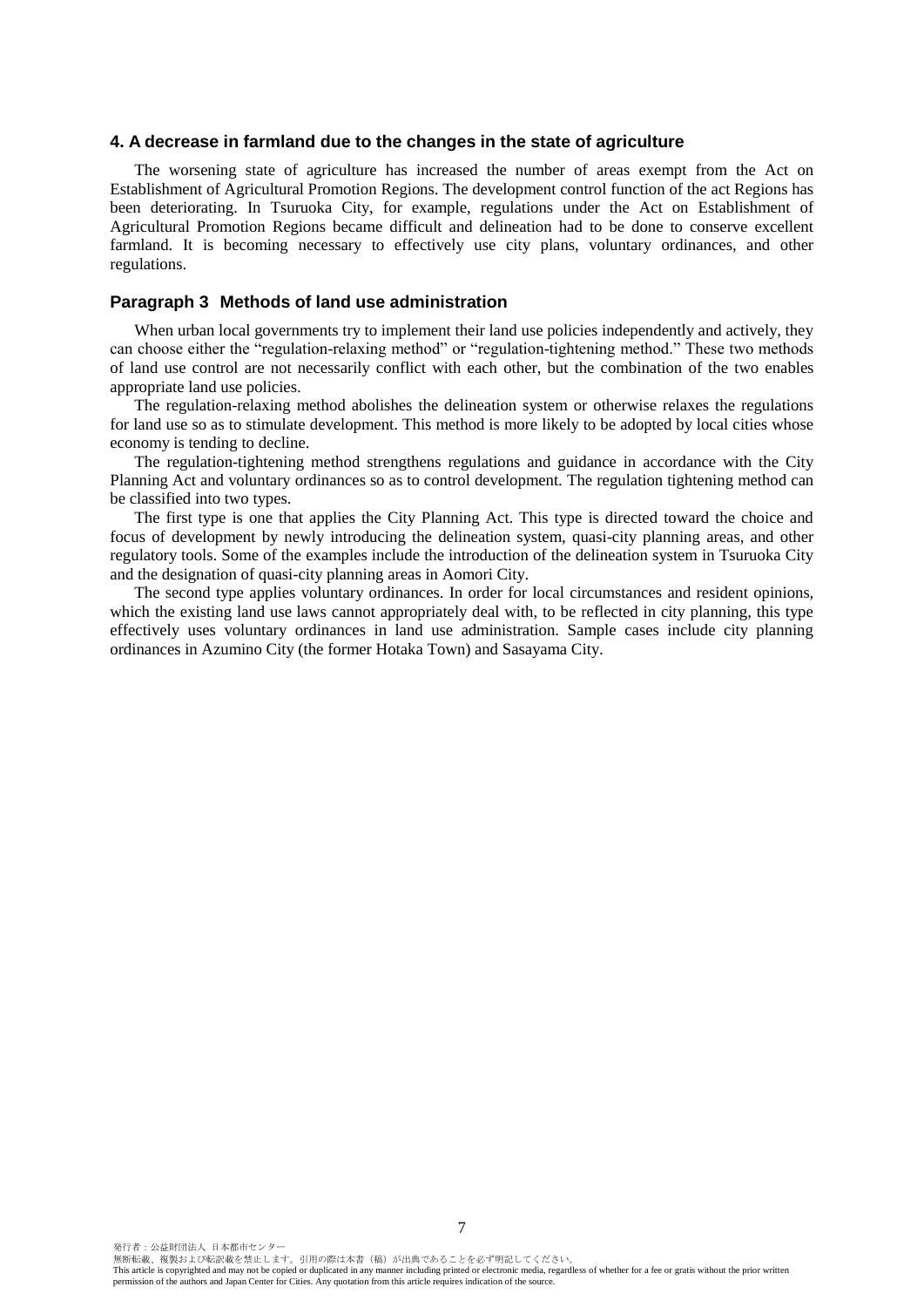#### **4. A decrease in farmland due to the changes in the state of agriculture**

The worsening state of agriculture has increased the number of areas exempt from the Act on Establishment of Agricultural Promotion Regions. The development control function of the act Regions has been deteriorating. In Tsuruoka City, for example, regulations under the Act on Establishment of Agricultural Promotion Regions became difficult and delineation had to be done to conserve excellent farmland. It is becoming necessary to effectively use city plans, voluntary ordinances, and other regulations.

### **Paragraph 3 Methods of land use administration**

When urban local governments try to implement their land use policies independently and actively, they can choose either the "regulation-relaxing method" or "regulation-tightening method." These two methods of land use control are not necessarily conflict with each other, but the combination of the two enables appropriate land use policies.

The regulation-relaxing method abolishes the delineation system or otherwise relaxes the regulations for land use so as to stimulate development. This method is more likely to be adopted by local cities whose economy is tending to decline.

The regulation-tightening method strengthens regulations and guidance in accordance with the City Planning Act and voluntary ordinances so as to control development. The regulation tightening method can be classified into two types.

The first type is one that applies the City Planning Act. This type is directed toward the choice and focus of development by newly introducing the delineation system, quasi-city planning areas, and other regulatory tools. Some of the examples include the introduction of the delineation system in Tsuruoka City and the designation of quasi-city planning areas in Aomori City.

The second type applies voluntary ordinances. In order for local circumstances and resident opinions, which the existing land use laws cannot appropriately deal with, to be reflected in city planning, this type effectively uses voluntary ordinances in land use administration. Sample cases include city planning ordinances in Azumino City (the former Hotaka Town) and Sasayama City.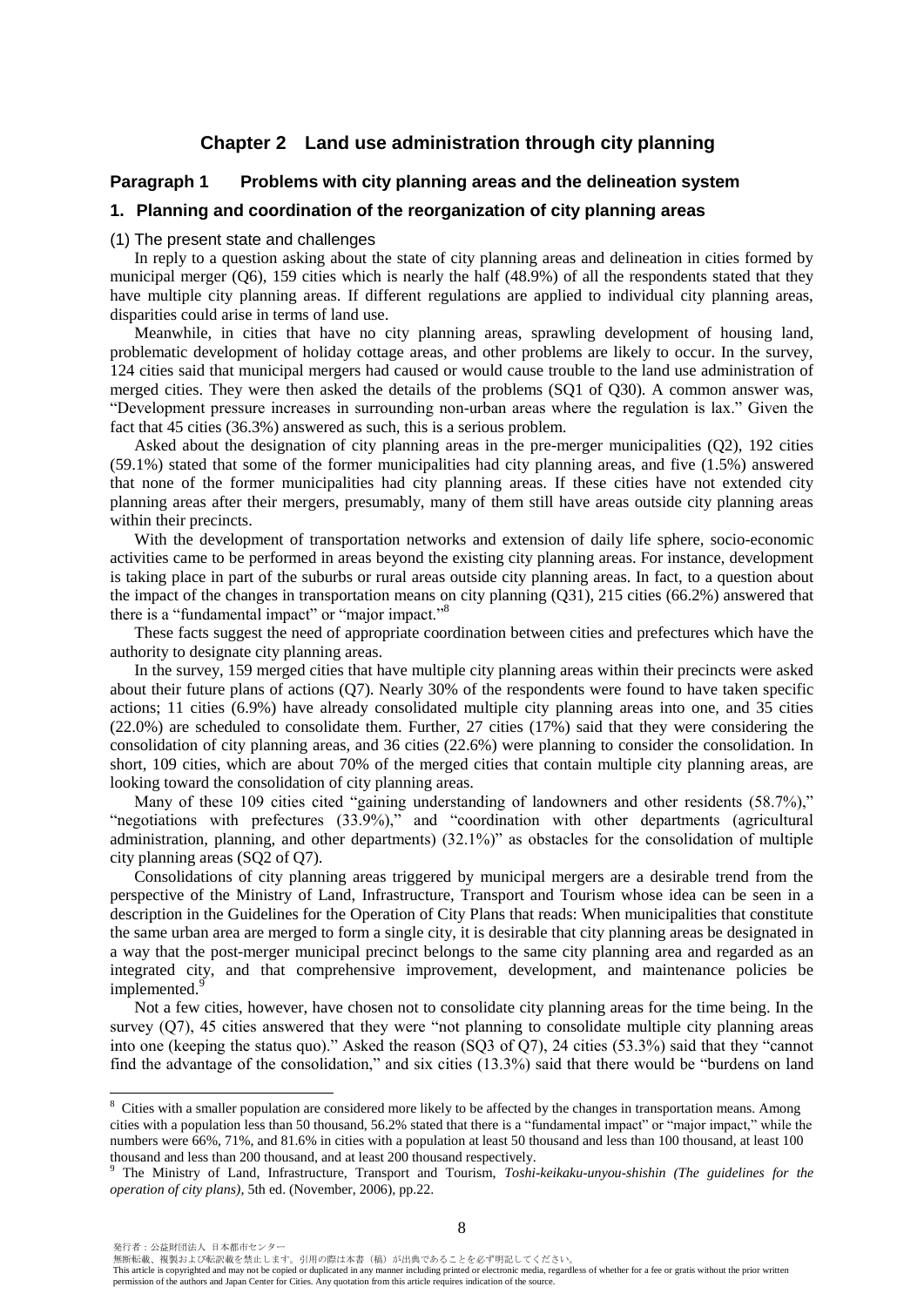## **Chapter 2 Land use administration through city planning**

## **Paragraph 1 Problems with city planning areas and the delineation system**

#### **1. Planning and coordination of the reorganization of city planning areas**

#### (1) The present state and challenges

In reply to a question asking about the state of city planning areas and delineation in cities formed by municipal merger  $(O6)$ , 159 cities which is nearly the half  $(48.9%)$  of all the respondents stated that they have multiple city planning areas. If different regulations are applied to individual city planning areas, disparities could arise in terms of land use.

Meanwhile, in cities that have no city planning areas, sprawling development of housing land, problematic development of holiday cottage areas, and other problems are likely to occur. In the survey, 124 cities said that municipal mergers had caused or would cause trouble to the land use administration of merged cities. They were then asked the details of the problems (SQ1 of Q30). A common answer was, "Development pressure increases in surrounding non-urban areas where the regulation is lax." Given the fact that 45 cities (36.3%) answered as such, this is a serious problem.

Asked about the designation of city planning areas in the pre-merger municipalities (Q2), 192 cities (59.1%) stated that some of the former municipalities had city planning areas, and five (1.5%) answered that none of the former municipalities had city planning areas. If these cities have not extended city planning areas after their mergers, presumably, many of them still have areas outside city planning areas within their precincts.

With the development of transportation networks and extension of daily life sphere, socio-economic activities came to be performed in areas beyond the existing city planning areas. For instance, development is taking place in part of the suburbs or rural areas outside city planning areas. In fact, to a question about the impact of the changes in transportation means on city planning (Q31), 215 cities (66.2%) answered that there is a "fundamental impact" or "major impact."<sup>8</sup>

These facts suggest the need of appropriate coordination between cities and prefectures which have the authority to designate city planning areas.

In the survey, 159 merged cities that have multiple city planning areas within their precincts were asked about their future plans of actions (Q7). Nearly 30% of the respondents were found to have taken specific actions; 11 cities (6.9%) have already consolidated multiple city planning areas into one, and 35 cities (22.0%) are scheduled to consolidate them. Further, 27 cities (17%) said that they were considering the consolidation of city planning areas, and 36 cities (22.6%) were planning to consider the consolidation. In short, 109 cities, which are about 70% of the merged cities that contain multiple city planning areas, are looking toward the consolidation of city planning areas.

Many of these 109 cities cited "gaining understanding of landowners and other residents (58.7%)," "negotiations with prefectures (33.9%)," and "coordination with other departments (agricultural administration, planning, and other departments) (32.1%)" as obstacles for the consolidation of multiple city planning areas (SQ2 of Q7).

Consolidations of city planning areas triggered by municipal mergers are a desirable trend from the perspective of the Ministry of Land, Infrastructure, Transport and Tourism whose idea can be seen in a description in the Guidelines for the Operation of City Plans that reads: When municipalities that constitute the same urban area are merged to form a single city, it is desirable that city planning areas be designated in a way that the post-merger municipal precinct belongs to the same city planning area and regarded as an integrated city, and that comprehensive improvement, development, and maintenance policies be implemented.<sup>9</sup>

Not a few cities, however, have chosen not to consolidate city planning areas for the time being. In the survey (Q7), 45 cities answered that they were "not planning to consolidate multiple city planning areas into one (keeping the status quo)." Asked the reason (SQ3 of Q7), 24 cities (53.3%) said that they "cannot find the advantage of the consolidation," and six cities (13.3%) said that there would be "burdens on land

 $\overline{a}$ 

無断転載、複製および転訳載を禁止します。引用の際は本書(稿)が出典であることを必ず明記してください。

 $8$  Cities with a smaller population are considered more likely to be affected by the changes in transportation means. Among cities with a population less than 50 thousand, 56.2% stated that there is a "fundamental impact" or "major impact," while the numbers were 66%, 71%, and 81.6% in cities with a population at least 50 thousand and less than 100 thousand, at least 100 thousand and less than 200 thousand, and at least 200 thousand respectively.

<sup>9</sup> The Ministry of Land, Infrastructure, Transport and Tourism, *Toshi-keikaku-unyou-shishin (The guidelines for the operation of city plans)*, 5th ed. (November, 2006), pp.22.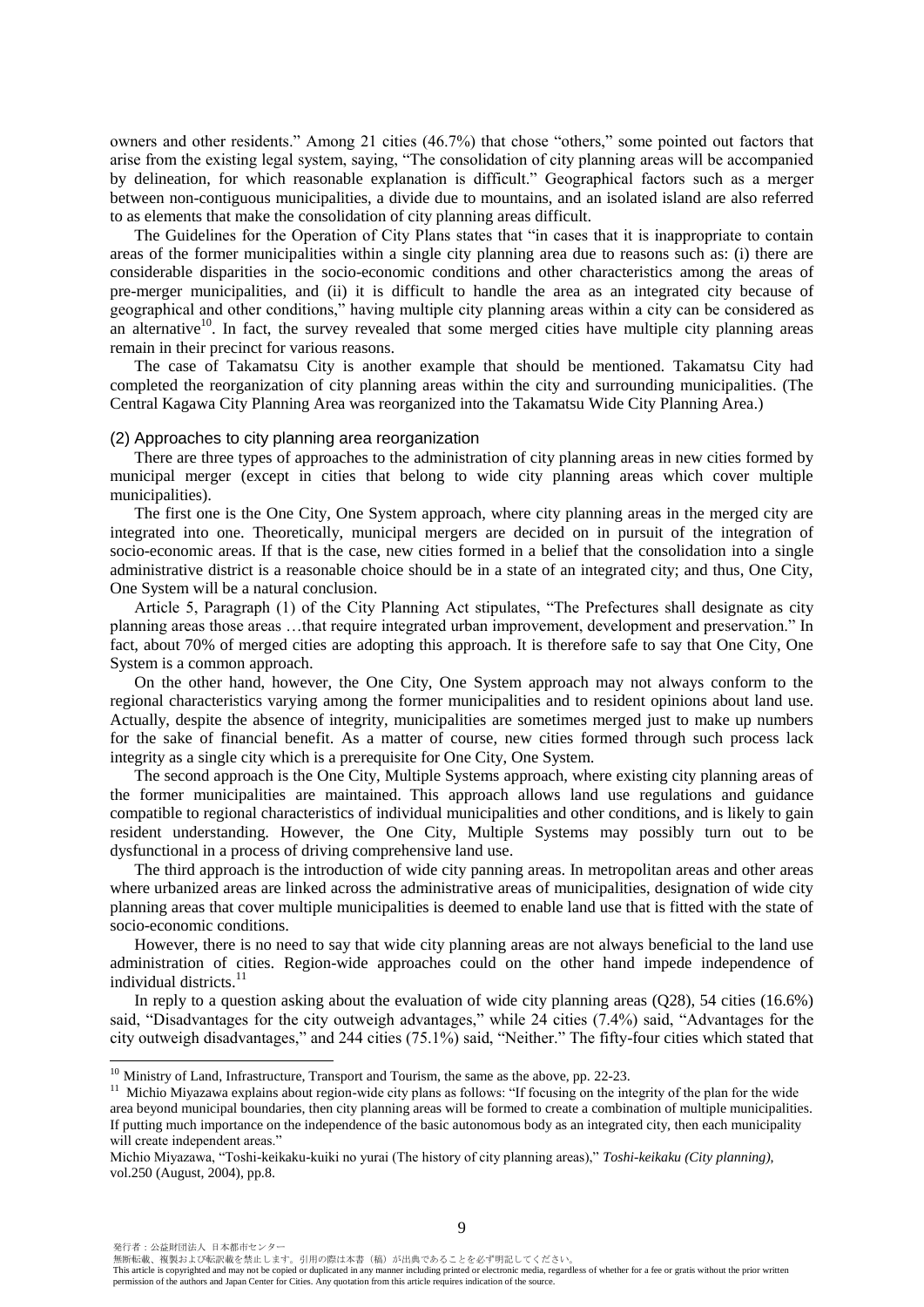owners and other residents." Among 21 cities (46.7%) that chose "others," some pointed out factors that arise from the existing legal system, saying, "The consolidation of city planning areas will be accompanied by delineation, for which reasonable explanation is difficult." Geographical factors such as a merger between non-contiguous municipalities, a divide due to mountains, and an isolated island are also referred to as elements that make the consolidation of city planning areas difficult.

The Guidelines for the Operation of City Plans states that "in cases that it is inappropriate to contain areas of the former municipalities within a single city planning area due to reasons such as: (i) there are considerable disparities in the socio-economic conditions and other characteristics among the areas of pre-merger municipalities, and (ii) it is difficult to handle the area as an integrated city because of geographical and other conditions," having multiple city planning areas within a city can be considered as an alternative $10$ . In fact, the survey revealed that some merged cities have multiple city planning areas remain in their precinct for various reasons.

The case of Takamatsu City is another example that should be mentioned. Takamatsu City had completed the reorganization of city planning areas within the city and surrounding municipalities. (The Central Kagawa City Planning Area was reorganized into the Takamatsu Wide City Planning Area.)

#### (2) Approaches to city planning area reorganization

There are three types of approaches to the administration of city planning areas in new cities formed by municipal merger (except in cities that belong to wide city planning areas which cover multiple municipalities).

The first one is the One City, One System approach, where city planning areas in the merged city are integrated into one. Theoretically, municipal mergers are decided on in pursuit of the integration of socio-economic areas. If that is the case, new cities formed in a belief that the consolidation into a single administrative district is a reasonable choice should be in a state of an integrated city; and thus, One City, One System will be a natural conclusion.

Article 5, Paragraph (1) of the City Planning Act stipulates, "The Prefectures shall designate as city planning areas those areas …that require integrated urban improvement, development and preservation." In fact, about 70% of merged cities are adopting this approach. It is therefore safe to say that One City, One System is a common approach.

On the other hand, however, the One City, One System approach may not always conform to the regional characteristics varying among the former municipalities and to resident opinions about land use. Actually, despite the absence of integrity, municipalities are sometimes merged just to make up numbers for the sake of financial benefit. As a matter of course, new cities formed through such process lack integrity as a single city which is a prerequisite for One City, One System.

The second approach is the One City, Multiple Systems approach, where existing city planning areas of the former municipalities are maintained. This approach allows land use regulations and guidance compatible to regional characteristics of individual municipalities and other conditions, and is likely to gain resident understanding. However, the One City, Multiple Systems may possibly turn out to be dysfunctional in a process of driving comprehensive land use.

The third approach is the introduction of wide city panning areas. In metropolitan areas and other areas where urbanized areas are linked across the administrative areas of municipalities, designation of wide city planning areas that cover multiple municipalities is deemed to enable land use that is fitted with the state of socio-economic conditions.

However, there is no need to say that wide city planning areas are not always beneficial to the land use administration of cities. Region-wide approaches could on the other hand impede independence of individual districts.<sup>11</sup>

In reply to a question asking about the evaluation of wide city planning areas  $(Q28)$ , 54 cities  $(16.6\%)$ said, "Disadvantages for the city outweigh advantages," while 24 cities (7.4%) said, "Advantages for the city outweigh disadvantages," and 244 cities (75.1%) said, "Neither." The fifty-four cities which stated that

 $\ddot{ }$ 

無断転載、複製および転訳載を禁止します。引用の際は本書(稿)が出典であることを必ず明記してください。

 $10$  Ministry of Land, Infrastructure, Transport and Tourism, the same as the above, pp. 22-23.

<sup>&</sup>lt;sup>11</sup> Michio Miyazawa explains about region-wide city plans as follows: "If focusing on the integrity of the plan for the wide area beyond municipal boundaries, then city planning areas will be formed to create a combination of multiple municipalities. If putting much importance on the independence of the basic autonomous body as an integrated city, then each municipality will create independent areas."

Michio Miyazawa, "Toshi-keikaku-kuiki no yurai (The history of city planning areas)," *Toshi-keikaku (City planning)*, vol.250 (August, 2004), pp.8.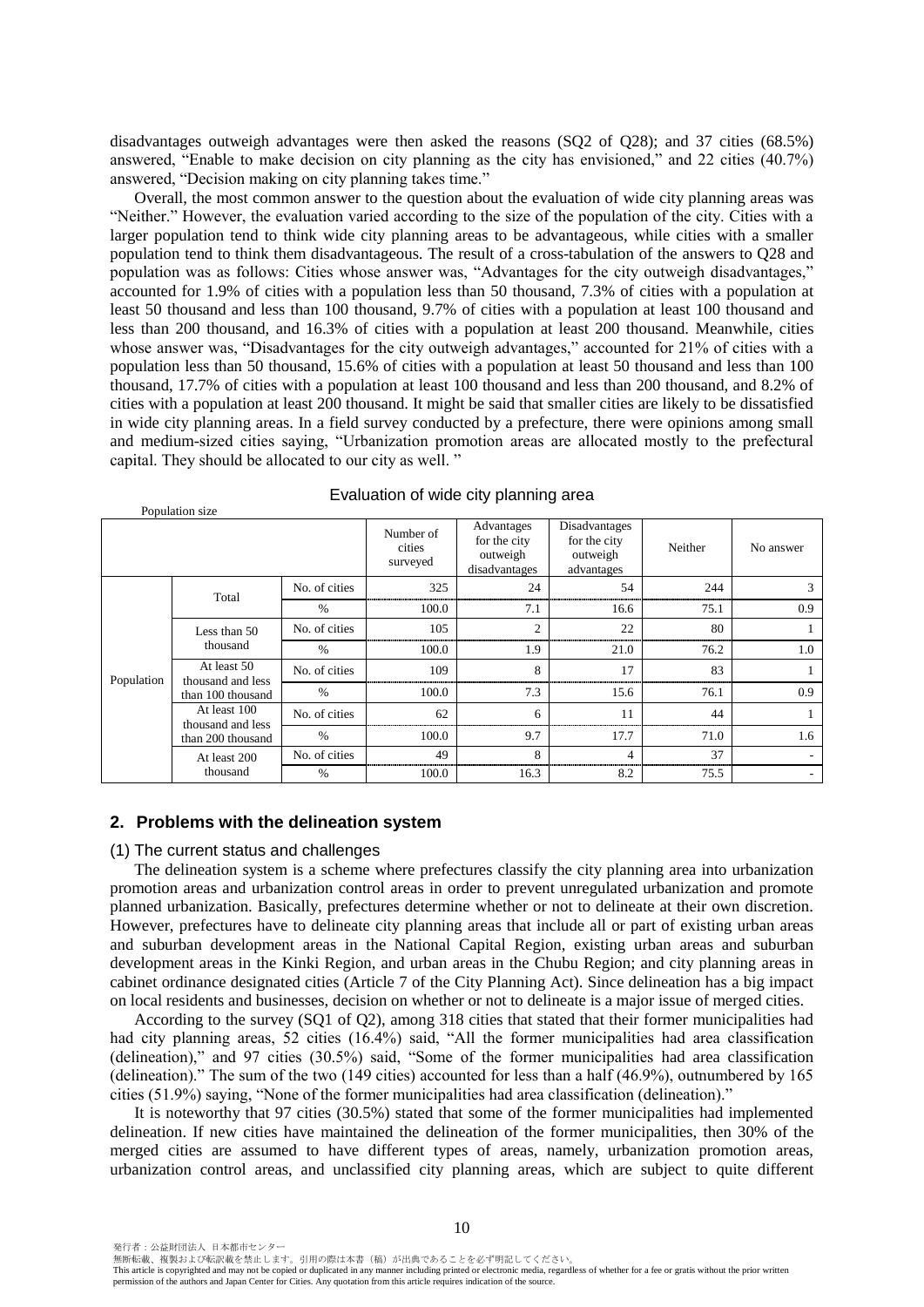disadvantages outweigh advantages were then asked the reasons (SQ2 of Q28); and 37 cities (68.5%) answered, "Enable to make decision on city planning as the city has envisioned," and 22 cities (40.7%) answered, "Decision making on city planning takes time."

Overall, the most common answer to the question about the evaluation of wide city planning areas was "Neither." However, the evaluation varied according to the size of the population of the city. Cities with a larger population tend to think wide city planning areas to be advantageous, while cities with a smaller population tend to think them disadvantageous. The result of a cross-tabulation of the answers to Q28 and population was as follows: Cities whose answer was, "Advantages for the city outweigh disadvantages," accounted for 1.9% of cities with a population less than 50 thousand, 7.3% of cities with a population at least 50 thousand and less than 100 thousand, 9.7% of cities with a population at least 100 thousand and less than 200 thousand, and 16.3% of cities with a population at least 200 thousand. Meanwhile, cities whose answer was, "Disadvantages for the city outweigh advantages," accounted for 21% of cities with a population less than 50 thousand, 15.6% of cities with a population at least 50 thousand and less than 100 thousand, 17.7% of cities with a population at least 100 thousand and less than 200 thousand, and 8.2% of cities with a population at least 200 thousand. It might be said that smaller cities are likely to be dissatisfied in wide city planning areas. In a field survey conducted by a prefecture, there were opinions among small and medium-sized cities saying, "Urbanization promotion areas are allocated mostly to the prefectural capital. They should be allocated to our city as well. "

|            | Population size                   |               |                                 |                                                         |                                                         |         |           |
|------------|-----------------------------------|---------------|---------------------------------|---------------------------------------------------------|---------------------------------------------------------|---------|-----------|
|            |                                   |               | Number of<br>cities<br>surveyed | Advantages<br>for the city<br>outweigh<br>disadvantages | Disadvantages<br>for the city<br>outweigh<br>advantages | Neither | No answer |
|            | Total                             | No. of cities | 325                             | 24                                                      | 54                                                      | 244     | 3         |
|            |                                   | $\%$          | 100.0                           | 7.1                                                     | 16.6                                                    | 75.1    | 0.9       |
|            | Less than 50                      | No. of cities | 105                             | $\overline{2}$                                          | 22                                                      | 80      |           |
|            | thousand                          | $\%$          | 100.0                           | 1.9                                                     | 21.0                                                    | 76.2    | 1.0       |
| Population | At least 50<br>thousand and less  | No. of cities | 109                             | 8                                                       | 17                                                      | 83      |           |
|            | than 100 thousand                 | $\%$          | 100.0                           | 7.3                                                     | 15.6                                                    | 76.1    | 0.9       |
|            | At least 100<br>thousand and less | No. of cities | 62                              | 6                                                       | 11                                                      | 44      |           |
|            | than 200 thousand                 | $\%$          | 100.0                           | 9.7                                                     | 17.7                                                    | 71.0    | 1.6       |
|            | At least 200                      | No. of cities | 49                              | 8                                                       | 4                                                       | 37      |           |
|            | thousand                          | $\%$          | 100.0                           | 16.3                                                    | 8.2                                                     | 75.5    |           |

#### Evaluation of wide city planning area

#### **2. Problems with the delineation system**

#### (1) The current status and challenges

Population size

The delineation system is a scheme where prefectures classify the city planning area into urbanization promotion areas and urbanization control areas in order to prevent unregulated urbanization and promote planned urbanization. Basically, prefectures determine whether or not to delineate at their own discretion. However, prefectures have to delineate city planning areas that include all or part of existing urban areas and suburban development areas in the National Capital Region, existing urban areas and suburban development areas in the Kinki Region, and urban areas in the Chubu Region; and city planning areas in cabinet ordinance designated cities (Article 7 of the City Planning Act). Since delineation has a big impact on local residents and businesses, decision on whether or not to delineate is a major issue of merged cities.

According to the survey (SQ1 of Q2), among 318 cities that stated that their former municipalities had had city planning areas, 52 cities (16.4%) said, "All the former municipalities had area classification (delineation)," and 97 cities (30.5%) said, "Some of the former municipalities had area classification (delineation)." The sum of the two (149 cities) accounted for less than a half (46.9%), outnumbered by 165 cities (51.9%) saying, "None of the former municipalities had area classification (delineation)."

It is noteworthy that 97 cities (30.5%) stated that some of the former municipalities had implemented delineation. If new cities have maintained the delineation of the former municipalities, then 30% of the merged cities are assumed to have different types of areas, namely, urbanization promotion areas, urbanization control areas, and unclassified city planning areas, which are subject to quite different

無断転載、複製および転訳載を禁止します。引用の際は本書(稿)が出典であることを必ず明記してください。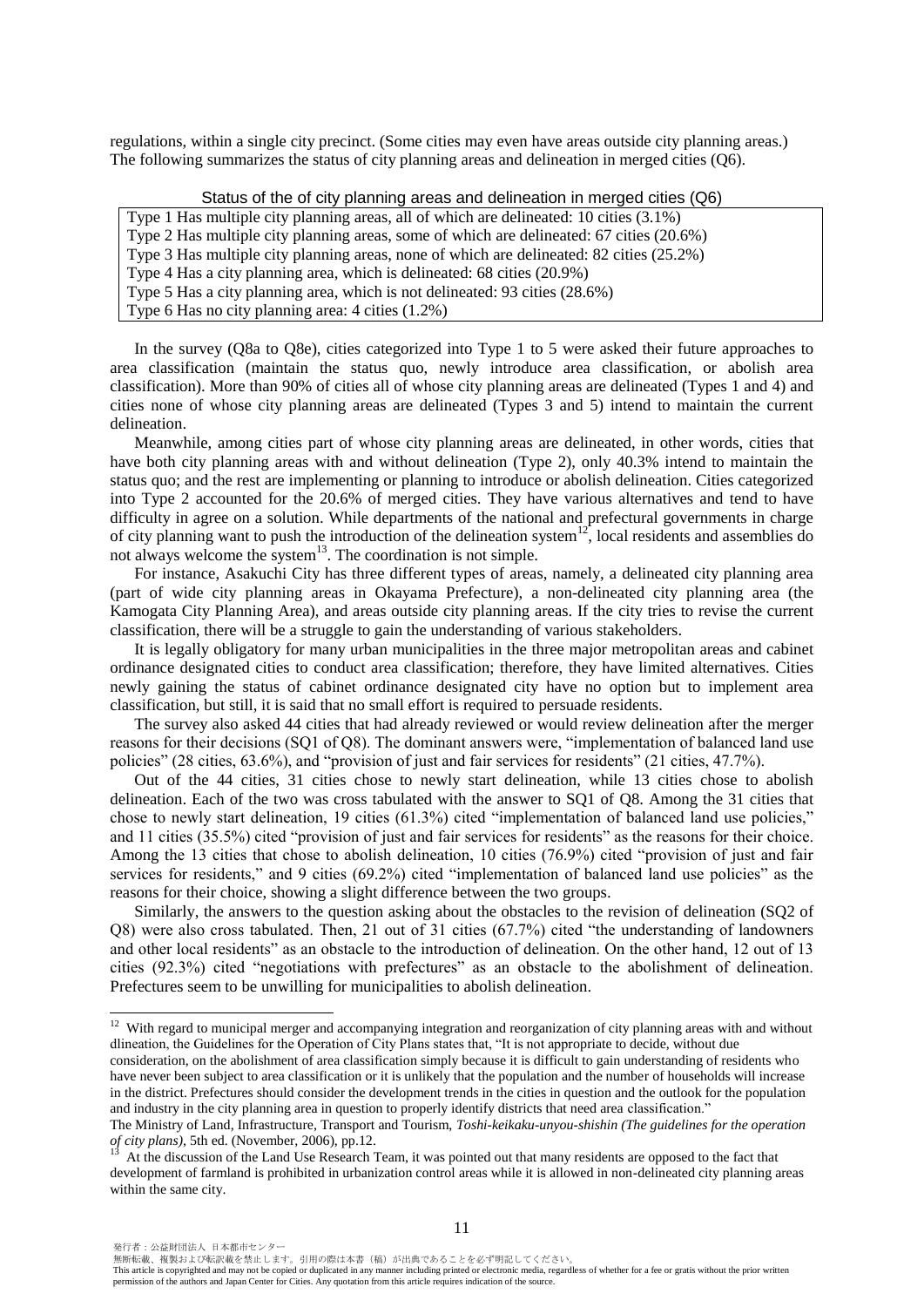regulations, within a single city precinct. (Some cities may even have areas outside city planning areas.) The following summarizes the status of city planning areas and delineation in merged cities (Q6).

## Status of the of city planning areas and delineation in merged cities (Q6)

Type 1 Has multiple city planning areas, all of which are delineated: 10 cities (3.1%)

Type 2 Has multiple city planning areas, some of which are delineated: 67 cities (20.6%)

Type 3 Has multiple city planning areas, none of which are delineated: 82 cities (25.2%)

Type 4 Has a city planning area, which is delineated: 68 cities (20.9%)

Type 5 Has a city planning area, which is not delineated: 93 cities (28.6%)

Type 6 Has no city planning area: 4 cities (1.2%)

In the survey (Q8a to Q8e), cities categorized into Type 1 to 5 were asked their future approaches to area classification (maintain the status quo, newly introduce area classification, or abolish area classification). More than 90% of cities all of whose city planning areas are delineated (Types 1 and 4) and cities none of whose city planning areas are delineated (Types 3 and 5) intend to maintain the current delineation.

Meanwhile, among cities part of whose city planning areas are delineated, in other words, cities that have both city planning areas with and without delineation (Type 2), only 40.3% intend to maintain the status quo; and the rest are implementing or planning to introduce or abolish delineation. Cities categorized into Type 2 accounted for the 20.6% of merged cities. They have various alternatives and tend to have difficulty in agree on a solution. While departments of the national and prefectural governments in charge of city planning want to push the introduction of the delineation system<sup>12</sup>, local residents and assemblies do not always welcome the system $^{13}$ . The coordination is not simple.

For instance, Asakuchi City has three different types of areas, namely, a delineated city planning area (part of wide city planning areas in Okayama Prefecture), a non-delineated city planning area (the Kamogata City Planning Area), and areas outside city planning areas. If the city tries to revise the current classification, there will be a struggle to gain the understanding of various stakeholders.

It is legally obligatory for many urban municipalities in the three major metropolitan areas and cabinet ordinance designated cities to conduct area classification; therefore, they have limited alternatives. Cities newly gaining the status of cabinet ordinance designated city have no option but to implement area classification, but still, it is said that no small effort is required to persuade residents.

The survey also asked 44 cities that had already reviewed or would review delineation after the merger reasons for their decisions (SQ1 of Q8). The dominant answers were, "implementation of balanced land use policies" (28 cities, 63.6%), and "provision of just and fair services for residents" (21 cities, 47.7%).

Out of the 44 cities, 31 cities chose to newly start delineation, while 13 cities chose to abolish delineation. Each of the two was cross tabulated with the answer to SQ1 of Q8. Among the 31 cities that chose to newly start delineation, 19 cities (61.3%) cited "implementation of balanced land use policies," and 11 cities (35.5%) cited "provision of just and fair services for residents" as the reasons for their choice. Among the 13 cities that chose to abolish delineation, 10 cities (76.9%) cited "provision of just and fair services for residents," and 9 cities (69.2%) cited "implementation of balanced land use policies" as the reasons for their choice, showing a slight difference between the two groups.

Similarly, the answers to the question asking about the obstacles to the revision of delineation (SQ2 of Q8) were also cross tabulated. Then, 21 out of 31 cities (67.7%) cited "the understanding of landowners and other local residents" as an obstacle to the introduction of delineation. On the other hand, 12 out of 13 cities (92.3%) cited "negotiations with prefectures" as an obstacle to the abolishment of delineation. Prefectures seem to be unwilling for municipalities to abolish delineation.

 $\overline{a}$ 

無断転載、複製および転訳載を禁止します。引用の際は本書(稿)が出典であることを必ず明記してください。

 $12$  With regard to municipal merger and accompanying integration and reorganization of city planning areas with and without dlineation, the Guidelines for the Operation of City Plans states that, "It is not appropriate to decide, without due

consideration, on the abolishment of area classification simply because it is difficult to gain understanding of residents who have never been subject to area classification or it is unlikely that the population and the number of households will increase in the district. Prefectures should consider the development trends in the cities in question and the outlook for the population and industry in the city planning area in question to properly identify districts that need area classification."

The Ministry of Land, Infrastructure, Transport and Tourism, *Toshi-keikaku-unyou-shishin (The guidelines for the operation of city plans)*, 5th ed. (November, 2006), pp.12.

<sup>13</sup> At the discussion of the Land Use Research Team, it was pointed out that many residents are opposed to the fact that development of farmland is prohibited in urbanization control areas while it is allowed in non-delineated city planning areas within the same city.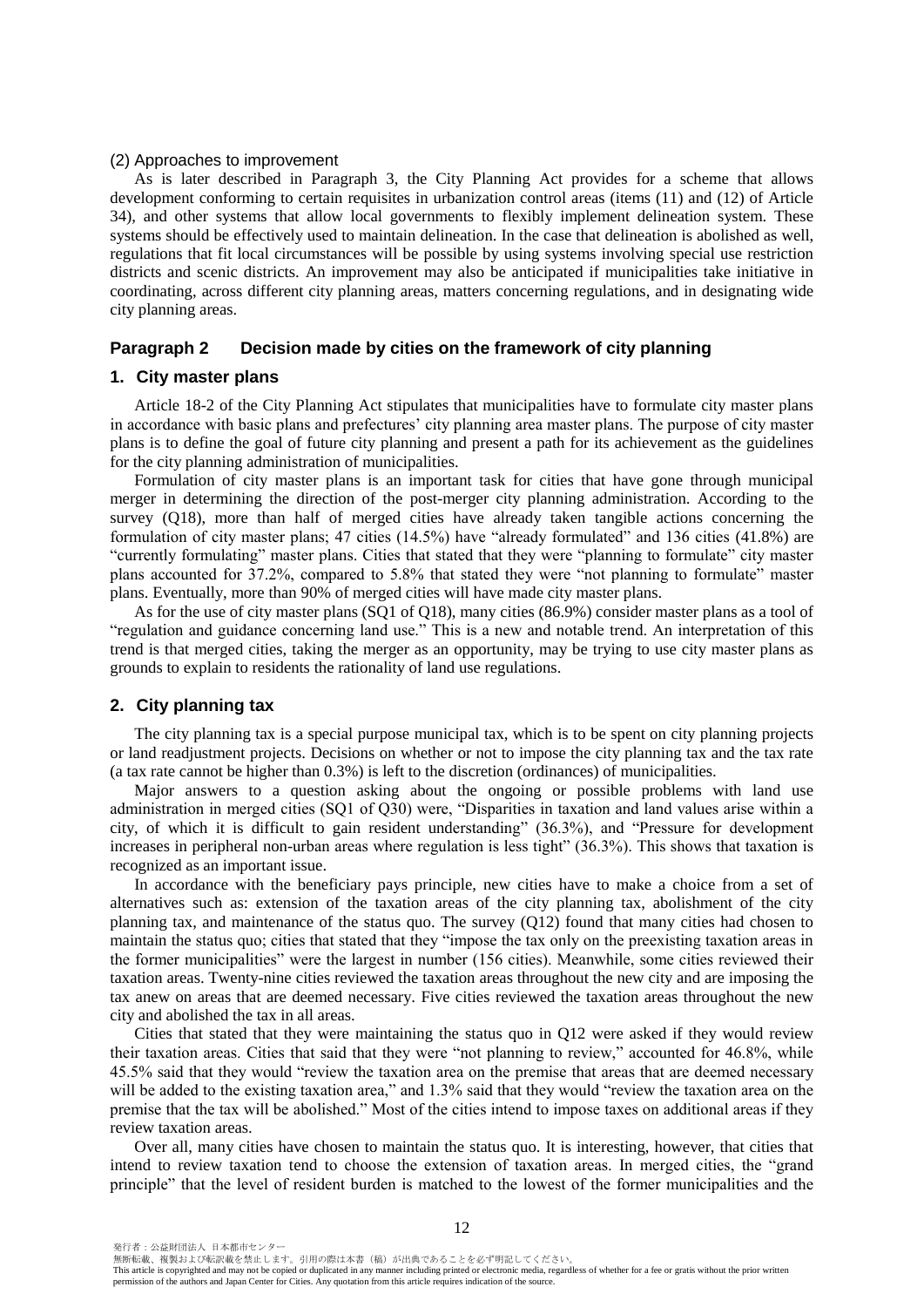#### (2) Approaches to improvement

As is later described in Paragraph 3, the City Planning Act provides for a scheme that allows development conforming to certain requisites in urbanization control areas (items (11) and (12) of Article 34), and other systems that allow local governments to flexibly implement delineation system. These systems should be effectively used to maintain delineation. In the case that delineation is abolished as well, regulations that fit local circumstances will be possible by using systems involving special use restriction districts and scenic districts. An improvement may also be anticipated if municipalities take initiative in coordinating, across different city planning areas, matters concerning regulations, and in designating wide city planning areas.

## **Paragraph 2 Decision made by cities on the framework of city planning**

#### **1. City master plans**

Article 18-2 of the City Planning Act stipulates that municipalities have to formulate city master plans in accordance with basic plans and prefectures' city planning area master plans. The purpose of city master plans is to define the goal of future city planning and present a path for its achievement as the guidelines for the city planning administration of municipalities.

Formulation of city master plans is an important task for cities that have gone through municipal merger in determining the direction of the post-merger city planning administration. According to the survey (Q18), more than half of merged cities have already taken tangible actions concerning the formulation of city master plans; 47 cities (14.5%) have "already formulated" and 136 cities (41.8%) are "currently formulating" master plans. Cities that stated that they were "planning to formulate" city master plans accounted for 37.2%, compared to 5.8% that stated they were "not planning to formulate" master plans. Eventually, more than 90% of merged cities will have made city master plans.

As for the use of city master plans (SQ1 of Q18), many cities (86.9%) consider master plans as a tool of "regulation and guidance concerning land use." This is a new and notable trend. An interpretation of this trend is that merged cities, taking the merger as an opportunity, may be trying to use city master plans as grounds to explain to residents the rationality of land use regulations.

## **2. City planning tax**

The city planning tax is a special purpose municipal tax, which is to be spent on city planning projects or land readjustment projects. Decisions on whether or not to impose the city planning tax and the tax rate (a tax rate cannot be higher than 0.3%) is left to the discretion (ordinances) of municipalities.

Major answers to a question asking about the ongoing or possible problems with land use administration in merged cities (SQ1 of Q30) were, "Disparities in taxation and land values arise within a city, of which it is difficult to gain resident understanding" (36.3%), and "Pressure for development increases in peripheral non-urban areas where regulation is less tight" (36.3%). This shows that taxation is recognized as an important issue.

In accordance with the beneficiary pays principle, new cities have to make a choice from a set of alternatives such as: extension of the taxation areas of the city planning tax, abolishment of the city planning tax, and maintenance of the status quo. The survey (Q12) found that many cities had chosen to maintain the status quo; cities that stated that they "impose the tax only on the preexisting taxation areas in the former municipalities" were the largest in number (156 cities). Meanwhile, some cities reviewed their taxation areas. Twenty-nine cities reviewed the taxation areas throughout the new city and are imposing the tax anew on areas that are deemed necessary. Five cities reviewed the taxation areas throughout the new city and abolished the tax in all areas.

Cities that stated that they were maintaining the status quo in Q12 were asked if they would review their taxation areas. Cities that said that they were "not planning to review," accounted for 46.8%, while 45.5% said that they would "review the taxation area on the premise that areas that are deemed necessary will be added to the existing taxation area," and 1.3% said that they would "review the taxation area on the premise that the tax will be abolished." Most of the cities intend to impose taxes on additional areas if they review taxation areas.

Over all, many cities have chosen to maintain the status quo. It is interesting, however, that cities that intend to review taxation tend to choose the extension of taxation areas. In merged cities, the "grand principle" that the level of resident burden is matched to the lowest of the former municipalities and the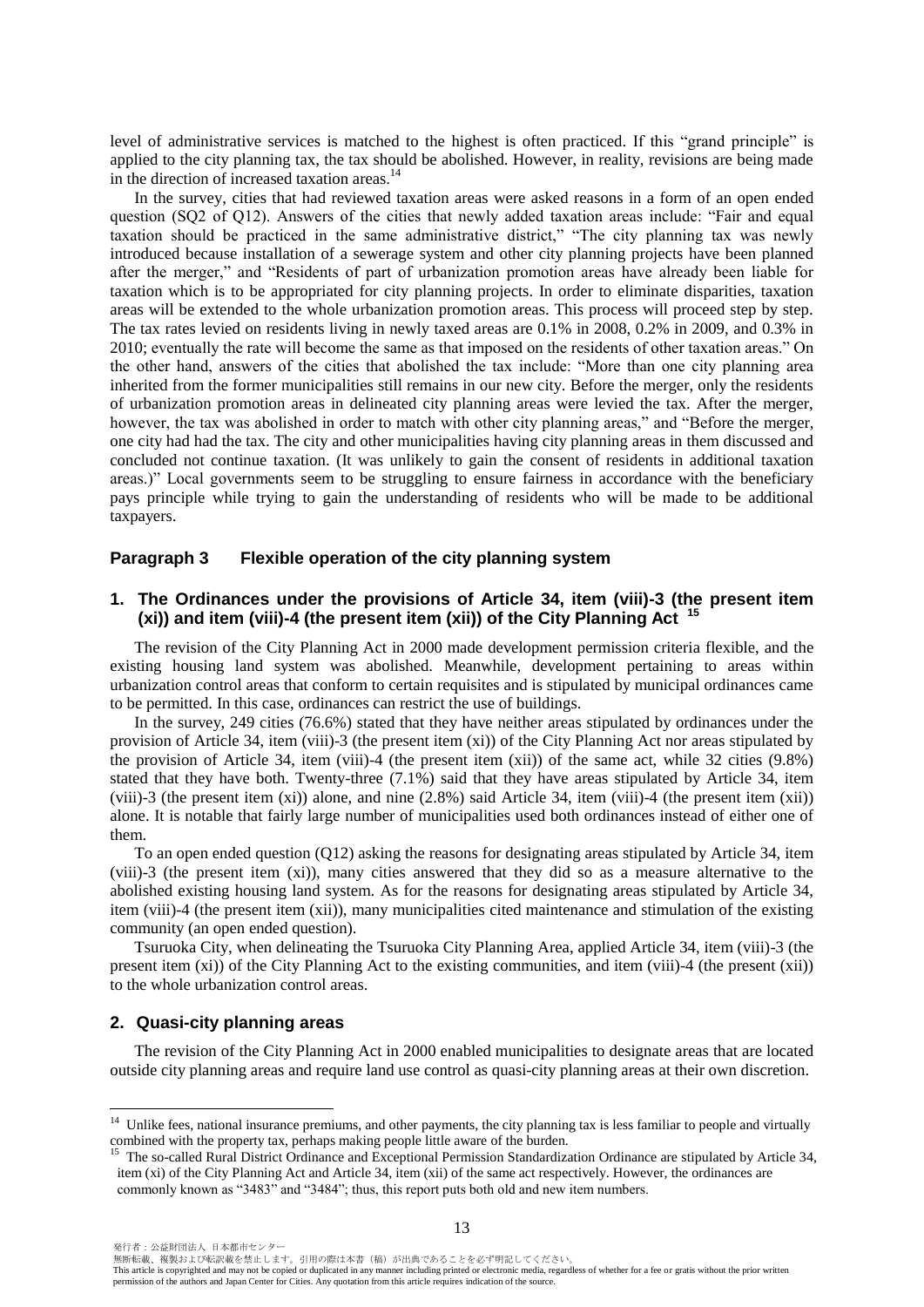level of administrative services is matched to the highest is often practiced. If this "grand principle" is applied to the city planning tax, the tax should be abolished. However, in reality, revisions are being made in the direction of increased taxation areas.<sup>14</sup>

In the survey, cities that had reviewed taxation areas were asked reasons in a form of an open ended question (SQ2 of Q12). Answers of the cities that newly added taxation areas include: "Fair and equal taxation should be practiced in the same administrative district," "The city planning tax was newly introduced because installation of a sewerage system and other city planning projects have been planned after the merger," and "Residents of part of urbanization promotion areas have already been liable for taxation which is to be appropriated for city planning projects. In order to eliminate disparities, taxation areas will be extended to the whole urbanization promotion areas. This process will proceed step by step. The tax rates levied on residents living in newly taxed areas are 0.1% in 2008, 0.2% in 2009, and 0.3% in 2010; eventually the rate will become the same as that imposed on the residents of other taxation areas." On the other hand, answers of the cities that abolished the tax include: "More than one city planning area inherited from the former municipalities still remains in our new city. Before the merger, only the residents of urbanization promotion areas in delineated city planning areas were levied the tax. After the merger, however, the tax was abolished in order to match with other city planning areas," and "Before the merger, one city had had the tax. The city and other municipalities having city planning areas in them discussed and concluded not continue taxation. (It was unlikely to gain the consent of residents in additional taxation areas.)" Local governments seem to be struggling to ensure fairness in accordance with the beneficiary pays principle while trying to gain the understanding of residents who will be made to be additional taxpayers.

### **Paragraph 3 Flexible operation of the city planning system**

## **1. The Ordinances under the provisions of Article 34, item (viii)-3 (the present item (xi)) and item (viii)-4 (the present item (xii)) of the City Planning Act <sup>15</sup>**

The revision of the City Planning Act in 2000 made development permission criteria flexible, and the existing housing land system was abolished. Meanwhile, development pertaining to areas within urbanization control areas that conform to certain requisites and is stipulated by municipal ordinances came to be permitted. In this case, ordinances can restrict the use of buildings.

In the survey, 249 cities (76.6%) stated that they have neither areas stipulated by ordinances under the provision of Article 34, item (viii)-3 (the present item (xi)) of the City Planning Act nor areas stipulated by the provision of Article 34, item (viii)-4 (the present item (xii)) of the same act, while 32 cities (9.8%) stated that they have both. Twenty-three (7.1%) said that they have areas stipulated by Article 34, item (viii)-3 (the present item (xi)) alone, and nine (2.8%) said Article 34, item (viii)-4 (the present item (xii)) alone. It is notable that fairly large number of municipalities used both ordinances instead of either one of them.

To an open ended question (Q12) asking the reasons for designating areas stipulated by Article 34, item (viii)-3 (the present item (xi)), many cities answered that they did so as a measure alternative to the abolished existing housing land system. As for the reasons for designating areas stipulated by Article 34, item (viii)-4 (the present item (xii)), many municipalities cited maintenance and stimulation of the existing community (an open ended question).

Tsuruoka City, when delineating the Tsuruoka City Planning Area, applied Article 34, item (viii)-3 (the present item (xi)) of the City Planning Act to the existing communities, and item (viii)-4 (the present (xii)) to the whole urbanization control areas.

#### **2. Quasi-city planning areas**

The revision of the City Planning Act in 2000 enabled municipalities to designate areas that are located outside city planning areas and require land use control as quasi-city planning areas at their own discretion.

 $\overline{a}$ 

無断転載、複製および転訳載を禁止します。引用の際は本書(稿)が出典であることを必ず明記してください。

<sup>&</sup>lt;sup>14</sup> Unlike fees, national insurance premiums, and other payments, the city planning tax is less familiar to people and virtually combined with the property tax, perhaps making people little aware of the burden.

<sup>&</sup>lt;sup>15</sup> The so-called Rural District Ordinance and Exceptional Permission Standardization Ordinance are stipulated by Article 34, item (xi) of the City Planning Act and Article 34, item (xii) of the same act respectively. However, the ordinances are commonly known as "3483" and "3484"; thus, this report puts both old and new item numbers.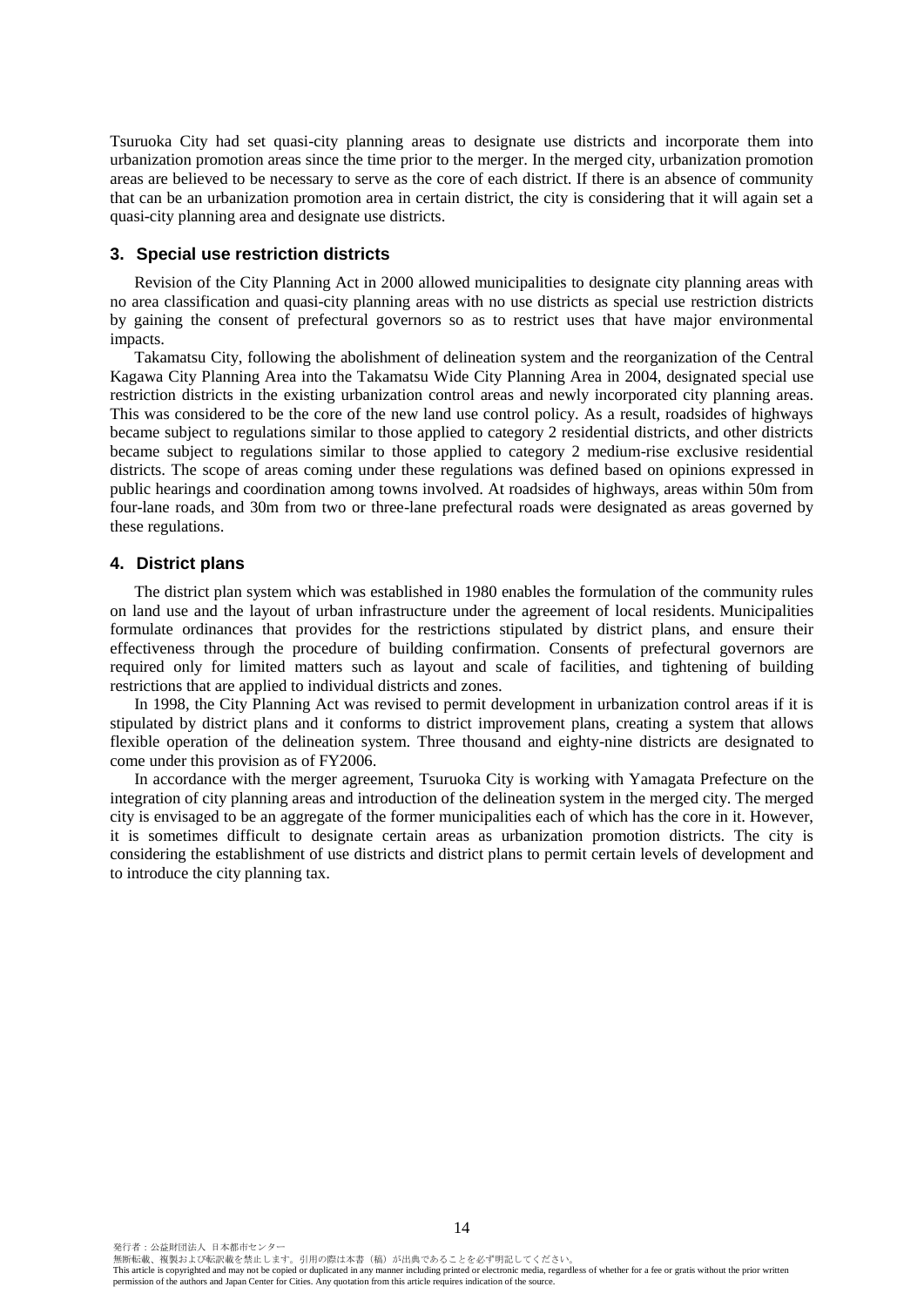Tsuruoka City had set quasi-city planning areas to designate use districts and incorporate them into urbanization promotion areas since the time prior to the merger. In the merged city, urbanization promotion areas are believed to be necessary to serve as the core of each district. If there is an absence of community that can be an urbanization promotion area in certain district, the city is considering that it will again set a quasi-city planning area and designate use districts.

## **3. Special use restriction districts**

Revision of the City Planning Act in 2000 allowed municipalities to designate city planning areas with no area classification and quasi-city planning areas with no use districts as special use restriction districts by gaining the consent of prefectural governors so as to restrict uses that have major environmental impacts.

Takamatsu City, following the abolishment of delineation system and the reorganization of the Central Kagawa City Planning Area into the Takamatsu Wide City Planning Area in 2004, designated special use restriction districts in the existing urbanization control areas and newly incorporated city planning areas. This was considered to be the core of the new land use control policy. As a result, roadsides of highways became subject to regulations similar to those applied to category 2 residential districts, and other districts became subject to regulations similar to those applied to category 2 medium-rise exclusive residential districts. The scope of areas coming under these regulations was defined based on opinions expressed in public hearings and coordination among towns involved. At roadsides of highways, areas within 50m from four-lane roads, and 30m from two or three-lane prefectural roads were designated as areas governed by these regulations.

## **4. District plans**

The district plan system which was established in 1980 enables the formulation of the community rules on land use and the layout of urban infrastructure under the agreement of local residents. Municipalities formulate ordinances that provides for the restrictions stipulated by district plans, and ensure their effectiveness through the procedure of building confirmation. Consents of prefectural governors are required only for limited matters such as layout and scale of facilities, and tightening of building restrictions that are applied to individual districts and zones.

In 1998, the City Planning Act was revised to permit development in urbanization control areas if it is stipulated by district plans and it conforms to district improvement plans, creating a system that allows flexible operation of the delineation system. Three thousand and eighty-nine districts are designated to come under this provision as of FY2006.

In accordance with the merger agreement, Tsuruoka City is working with Yamagata Prefecture on the integration of city planning areas and introduction of the delineation system in the merged city. The merged city is envisaged to be an aggregate of the former municipalities each of which has the core in it. However, it is sometimes difficult to designate certain areas as urbanization promotion districts. The city is considering the establishment of use districts and district plans to permit certain levels of development and to introduce the city planning tax.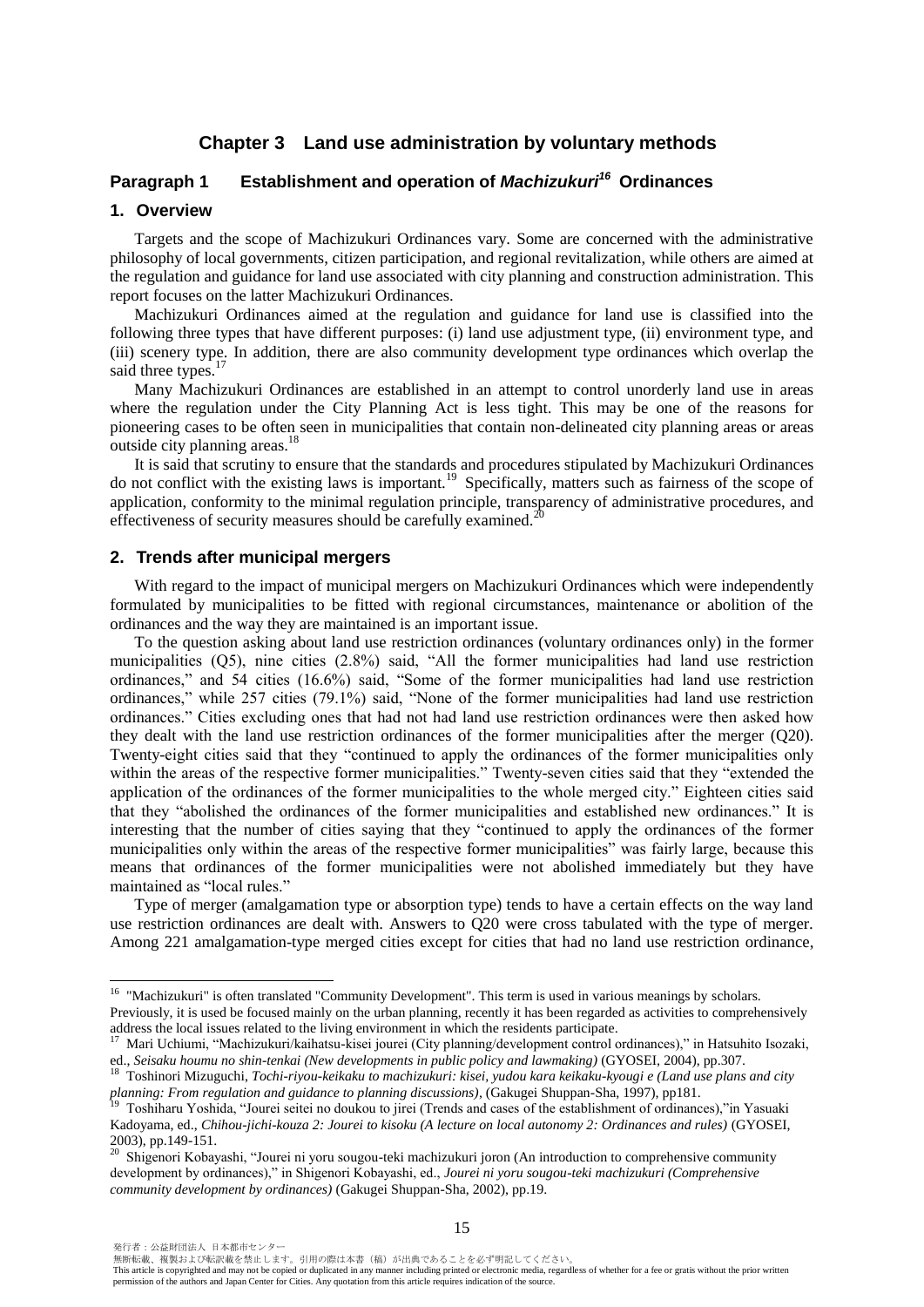## **Chapter 3 Land use administration by voluntary methods**

## **Paragraph 1 Establishment and operation of** *Machizukuri<sup>16</sup>* **Ordinances**

#### **1. Overview**

Targets and the scope of Machizukuri Ordinances vary. Some are concerned with the administrative philosophy of local governments, citizen participation, and regional revitalization, while others are aimed at the regulation and guidance for land use associated with city planning and construction administration. This report focuses on the latter Machizukuri Ordinances.

Machizukuri Ordinances aimed at the regulation and guidance for land use is classified into the following three types that have different purposes: (i) land use adjustment type, (ii) environment type, and (iii) scenery type. In addition, there are also community development type ordinances which overlap the said three types.

Many Machizukuri Ordinances are established in an attempt to control unorderly land use in areas where the regulation under the City Planning Act is less tight. This may be one of the reasons for pioneering cases to be often seen in municipalities that contain non-delineated city planning areas or areas outside city planning areas.<sup>18</sup>

It is said that scrutiny to ensure that the standards and procedures stipulated by Machizukuri Ordinances do not conflict with the existing laws is important.<sup>19</sup> Specifically, matters such as fairness of the scope of application, conformity to the minimal regulation principle, transparency of administrative procedures, and effectiveness of security measures should be carefully examined.<sup>20</sup>

#### **2. Trends after municipal mergers**

With regard to the impact of municipal mergers on Machizukuri Ordinances which were independently formulated by municipalities to be fitted with regional circumstances, maintenance or abolition of the ordinances and the way they are maintained is an important issue.

To the question asking about land use restriction ordinances (voluntary ordinances only) in the former municipalities (Q5), nine cities (2.8%) said, "All the former municipalities had land use restriction ordinances," and 54 cities (16.6%) said, "Some of the former municipalities had land use restriction ordinances," while 257 cities (79.1%) said, "None of the former municipalities had land use restriction ordinances." Cities excluding ones that had not had land use restriction ordinances were then asked how they dealt with the land use restriction ordinances of the former municipalities after the merger (Q20). Twenty-eight cities said that they "continued to apply the ordinances of the former municipalities only within the areas of the respective former municipalities." Twenty-seven cities said that they "extended the application of the ordinances of the former municipalities to the whole merged city." Eighteen cities said that they "abolished the ordinances of the former municipalities and established new ordinances." It is interesting that the number of cities saying that they "continued to apply the ordinances of the former municipalities only within the areas of the respective former municipalities" was fairly large, because this means that ordinances of the former municipalities were not abolished immediately but they have maintained as "local rules."

Type of merger (amalgamation type or absorption type) tends to have a certain effects on the way land use restriction ordinances are dealt with. Answers to Q20 were cross tabulated with the type of merger. Among 221 amalgamation-type merged cities except for cities that had no land use restriction ordinance,

 $\overline{a}$ 

<sup>&</sup>lt;sup>16</sup> "Machizukuri" is often translated "Community Development". This term is used in various meanings by scholars. Previously, it is used be focused mainly on the urban planning, recently it has been regarded as activities to comprehensively address the local issues related to the living environment in which the residents participate.

<sup>&</sup>lt;sup>17</sup> Mari Uchiumi, "Machizukuri/kaihatsu-kisei jourei (City planning/development control ordinances)," in Hatsuhito Isozaki, ed., *Seisaku houmu no shin-tenkai (New developments in public policy and lawmaking)* (GYOSEI, 2004), pp.307.

<sup>18</sup> Toshinori Mizuguchi, *Tochi-riyou-keikaku to machizukuri: kisei, yudou kara keikaku-kyougi e (Land use plans and city planning: From regulation and guidance to planning discussions*), (Gakugei Shuppan-Sha, 1997), pp181.

<sup>19</sup> Toshiharu Yoshida, "Jourei seitei no doukou to jirei (Trends and cases of the establishment of ordinances),"in Yasuaki Kadoyama, ed., *Chihou-jichi-kouza 2: Jourei to kisoku (A lecture on local autonomy 2: Ordinances and rules)* (GYOSEI, 2003), pp.149-151.

<sup>&</sup>lt;sup>20</sup> Shigenori Kobayashi, "Jourei ni yoru sougou-teki machizukuri joron (An introduction to comprehensive community development by ordinances)," in Shigenori Kobayashi, ed., *Jourei ni yoru sougou-teki machizukuri (Comprehensive community development by ordinances)* (Gakugei Shuppan-Sha, 2002), pp.19.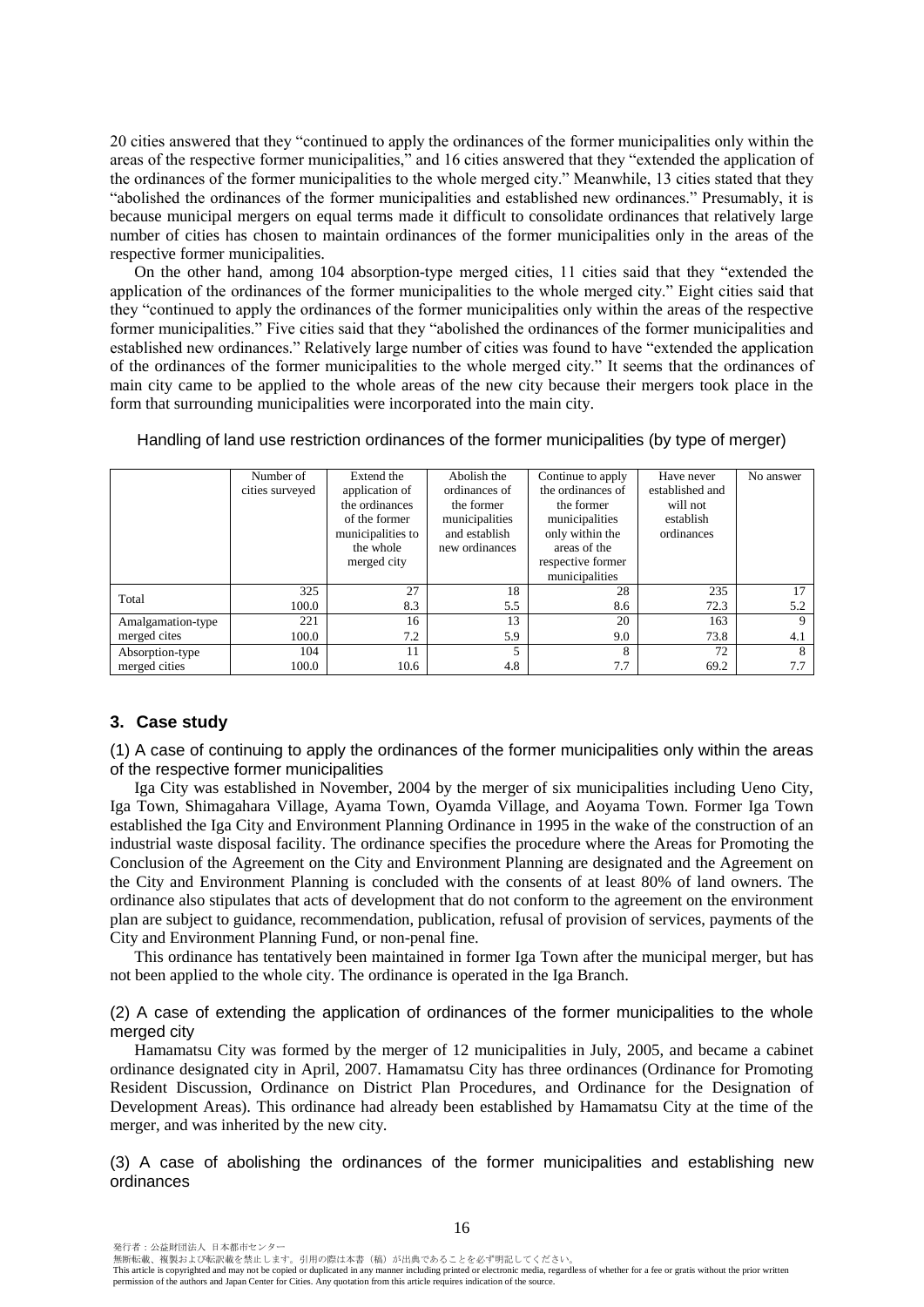20 cities answered that they "continued to apply the ordinances of the former municipalities only within the areas of the respective former municipalities," and 16 cities answered that they "extended the application of the ordinances of the former municipalities to the whole merged city." Meanwhile, 13 cities stated that they "abolished the ordinances of the former municipalities and established new ordinances." Presumably, it is because municipal mergers on equal terms made it difficult to consolidate ordinances that relatively large number of cities has chosen to maintain ordinances of the former municipalities only in the areas of the respective former municipalities.

On the other hand, among 104 absorption-type merged cities, 11 cities said that they "extended the application of the ordinances of the former municipalities to the whole merged city." Eight cities said that they "continued to apply the ordinances of the former municipalities only within the areas of the respective former municipalities." Five cities said that they "abolished the ordinances of the former municipalities and established new ordinances." Relatively large number of cities was found to have "extended the application of the ordinances of the former municipalities to the whole merged city." It seems that the ordinances of main city came to be applied to the whole areas of the new city because their mergers took place in the form that surrounding municipalities were incorporated into the main city.

|                   | Number of<br>cities surveyed | Extend the<br>application of<br>the ordinances<br>of the former<br>municipalities to<br>the whole<br>merged city | Abolish the<br>ordinances of<br>the former<br>municipalities<br>and establish<br>new ordinances | Continue to apply<br>the ordinances of<br>the former<br>municipalities<br>only within the<br>areas of the<br>respective former | Have never<br>established and<br>will not<br>establish<br>ordinances | No answer   |
|-------------------|------------------------------|------------------------------------------------------------------------------------------------------------------|-------------------------------------------------------------------------------------------------|--------------------------------------------------------------------------------------------------------------------------------|----------------------------------------------------------------------|-------------|
|                   |                              |                                                                                                                  |                                                                                                 | municipalities                                                                                                                 |                                                                      |             |
| Total             | 325                          | 27                                                                                                               | 18                                                                                              | 28                                                                                                                             | 235                                                                  | 17          |
|                   | 100.0                        | 8.3                                                                                                              | 5.5                                                                                             | 8.6                                                                                                                            | 72.3                                                                 | 5.2         |
| Amalgamation-type | 221                          | 16                                                                                                               | 13                                                                                              | 20                                                                                                                             | 163                                                                  | $\mathbf Q$ |
| merged cites      | 100.0                        | 7.2                                                                                                              | 5.9                                                                                             | 9.0                                                                                                                            | 73.8                                                                 | 4.1         |
| Absorption-type   | 104                          | 11                                                                                                               |                                                                                                 | 8                                                                                                                              | 72                                                                   | 8           |
| merged cities     | 100.0                        | 10.6                                                                                                             | 4.8                                                                                             | 7.7                                                                                                                            | 69.2                                                                 | 7.7         |

#### Handling of land use restriction ordinances of the former municipalities (by type of merger)

## **3. Case study**

(1) A case of continuing to apply the ordinances of the former municipalities only within the areas of the respective former municipalities

Iga City was established in November, 2004 by the merger of six municipalities including Ueno City, Iga Town, Shimagahara Village, Ayama Town, Oyamda Village, and Aoyama Town. Former Iga Town established the Iga City and Environment Planning Ordinance in 1995 in the wake of the construction of an industrial waste disposal facility. The ordinance specifies the procedure where the Areas for Promoting the Conclusion of the Agreement on the City and Environment Planning are designated and the Agreement on the City and Environment Planning is concluded with the consents of at least 80% of land owners. The ordinance also stipulates that acts of development that do not conform to the agreement on the environment plan are subject to guidance, recommendation, publication, refusal of provision of services, payments of the City and Environment Planning Fund, or non-penal fine.

This ordinance has tentatively been maintained in former Iga Town after the municipal merger, but has not been applied to the whole city. The ordinance is operated in the Iga Branch.

(2) A case of extending the application of ordinances of the former municipalities to the whole merged city

Hamamatsu City was formed by the merger of 12 municipalities in July, 2005, and became a cabinet ordinance designated city in April, 2007. Hamamatsu City has three ordinances (Ordinance for Promoting Resident Discussion, Ordinance on District Plan Procedures, and Ordinance for the Designation of Development Areas). This ordinance had already been established by Hamamatsu City at the time of the merger, and was inherited by the new city.

(3) A case of abolishing the ordinances of the former municipalities and establishing new ordinances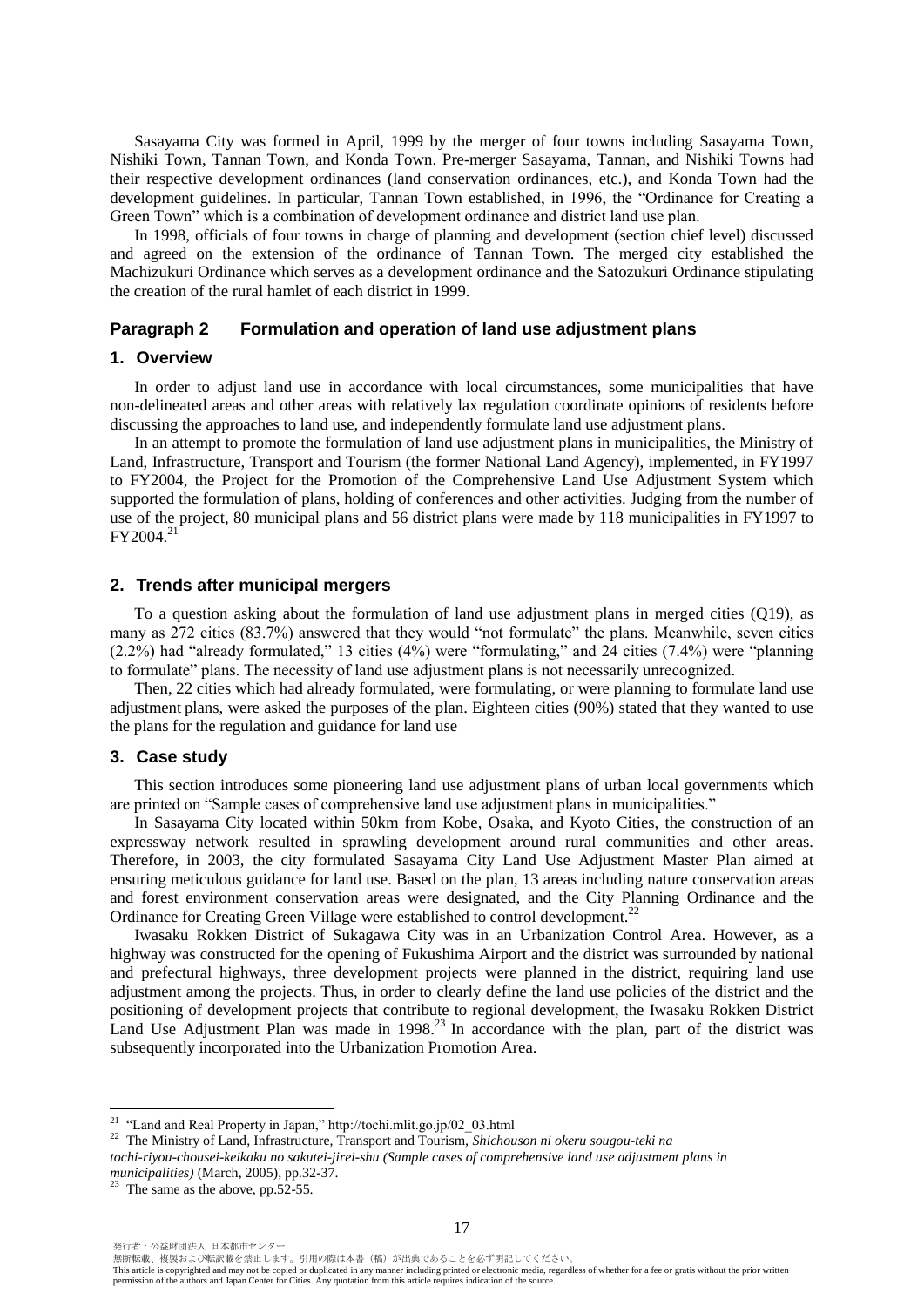Sasayama City was formed in April, 1999 by the merger of four towns including Sasayama Town, Nishiki Town, Tannan Town, and Konda Town. Pre-merger Sasayama, Tannan, and Nishiki Towns had their respective development ordinances (land conservation ordinances, etc.), and Konda Town had the development guidelines. In particular, Tannan Town established, in 1996, the "Ordinance for Creating a Green Town" which is a combination of development ordinance and district land use plan.

In 1998, officials of four towns in charge of planning and development (section chief level) discussed and agreed on the extension of the ordinance of Tannan Town. The merged city established the Machizukuri Ordinance which serves as a development ordinance and the Satozukuri Ordinance stipulating the creation of the rural hamlet of each district in 1999.

#### **Paragraph 2 Formulation and operation of land use adjustment plans**

#### **1. Overview**

In order to adjust land use in accordance with local circumstances, some municipalities that have non-delineated areas and other areas with relatively lax regulation coordinate opinions of residents before discussing the approaches to land use, and independently formulate land use adjustment plans.

In an attempt to promote the formulation of land use adjustment plans in municipalities, the Ministry of Land, Infrastructure, Transport and Tourism (the former National Land Agency), implemented, in FY1997 to FY2004, the Project for the Promotion of the Comprehensive Land Use Adjustment System which supported the formulation of plans, holding of conferences and other activities. Judging from the number of use of the project, 80 municipal plans and 56 district plans were made by 118 municipalities in FY1997 to  $FY2004.<sup>2</sup>$ 

#### **2. Trends after municipal mergers**

To a question asking about the formulation of land use adjustment plans in merged cities (Q19), as many as 272 cities (83.7%) answered that they would "not formulate" the plans. Meanwhile, seven cities (2.2%) had "already formulated," 13 cities (4%) were "formulating," and 24 cities (7.4%) were "planning to formulate" plans. The necessity of land use adjustment plans is not necessarily unrecognized.

Then, 22 cities which had already formulated, were formulating, or were planning to formulate land use adjustment plans, were asked the purposes of the plan. Eighteen cities (90%) stated that they wanted to use the plans for the regulation and guidance for land use

#### **3. Case study**

This section introduces some pioneering land use adjustment plans of urban local governments which are printed on "Sample cases of comprehensive land use adjustment plans in municipalities."

In Sasayama City located within 50km from Kobe, Osaka, and Kyoto Cities, the construction of an expressway network resulted in sprawling development around rural communities and other areas. Therefore, in 2003, the city formulated Sasayama City Land Use Adjustment Master Plan aimed at ensuring meticulous guidance for land use. Based on the plan, 13 areas including nature conservation areas and forest environment conservation areas were designated, and the City Planning Ordinance and the Ordinance for Creating Green Village were established to control development.<sup>22</sup>

Iwasaku Rokken District of Sukagawa City was in an Urbanization Control Area. However, as a highway was constructed for the opening of Fukushima Airport and the district was surrounded by national and prefectural highways, three development projects were planned in the district, requiring land use adjustment among the projects. Thus, in order to clearly define the land use policies of the district and the positioning of development projects that contribute to regional development, the Iwasaku Rokken District Land Use Adjustment Plan was made in 1998.<sup>23</sup> In accordance with the plan, part of the district was subsequently incorporated into the Urbanization Promotion Area.

発行者:公益財団法人 日本都市センター

 $\overline{a}$ 

<sup>&</sup>lt;sup>21</sup> "Land and Real Property in Japan," http://tochi.mlit.go.jp/02  $\,$  03.html

<sup>22</sup> The Ministry of Land, Infrastructure, Transport and Tourism, *Shichouson ni okeru sougou-teki na* 

*tochi-riyou-chousei-keikaku no sakutei-jirei-shu (Sample cases of comprehensive land use adjustment plans in municipalities)* (March, 2005), pp.32-37.

 $23$  The same as the above, pp.52-55.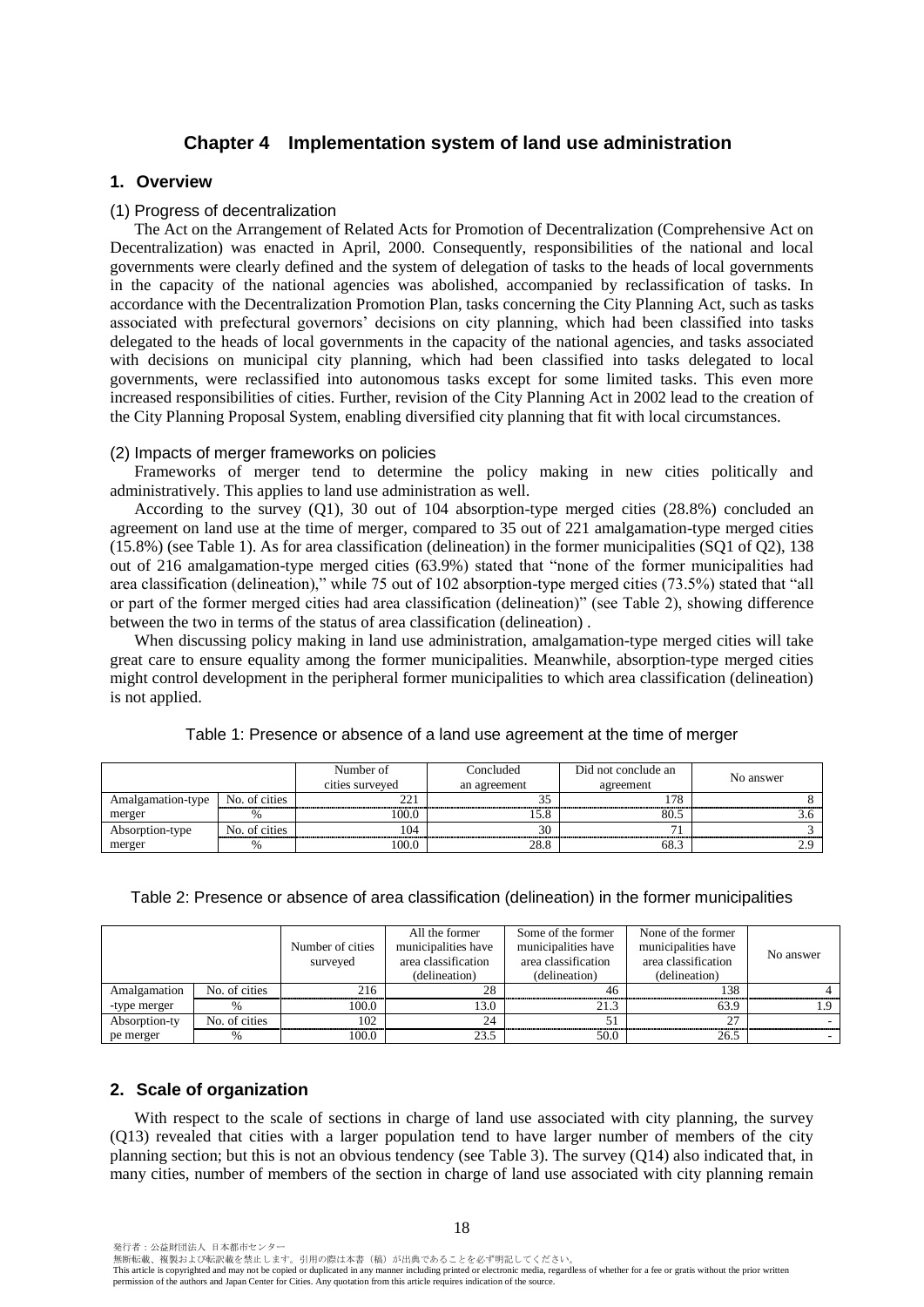## **Chapter 4 Implementation system of land use administration**

## **1. Overview**

#### (1) Progress of decentralization

The Act on the Arrangement of Related Acts for Promotion of Decentralization (Comprehensive Act on Decentralization) was enacted in April, 2000. Consequently, responsibilities of the national and local governments were clearly defined and the system of delegation of tasks to the heads of local governments in the capacity of the national agencies was abolished, accompanied by reclassification of tasks. In accordance with the Decentralization Promotion Plan, tasks concerning the City Planning Act, such as tasks associated with prefectural governors' decisions on city planning, which had been classified into tasks delegated to the heads of local governments in the capacity of the national agencies, and tasks associated with decisions on municipal city planning, which had been classified into tasks delegated to local governments, were reclassified into autonomous tasks except for some limited tasks. This even more increased responsibilities of cities. Further, revision of the City Planning Act in 2002 lead to the creation of the City Planning Proposal System, enabling diversified city planning that fit with local circumstances.

#### (2) Impacts of merger frameworks on policies

Frameworks of merger tend to determine the policy making in new cities politically and administratively. This applies to land use administration as well.

According to the survey (Q1), 30 out of 104 absorption-type merged cities (28.8%) concluded an agreement on land use at the time of merger, compared to 35 out of 221 amalgamation-type merged cities (15.8%) (see Table 1). As for area classification (delineation) in the former municipalities (SQ1 of Q2), 138 out of 216 amalgamation-type merged cities (63.9%) stated that "none of the former municipalities had area classification (delineation)," while 75 out of 102 absorption-type merged cities (73.5%) stated that "all or part of the former merged cities had area classification (delineation)" (see Table 2), showing difference between the two in terms of the status of area classification (delineation) .

When discussing policy making in land use administration, amalgamation-type merged cities will take great care to ensure equality among the former municipalities. Meanwhile, absorption-type merged cities might control development in the peripheral former municipalities to which area classification (delineation) is not applied.

|                   |               | Number of<br>cities surveyed | Concluded<br>an agreement | Did not conclude an<br>agreement | No answer |
|-------------------|---------------|------------------------------|---------------------------|----------------------------------|-----------|
| Amalgamation-type | No. of cities | 221<br>∠∠                    | JJ 1                      | 70                               |           |
| merger            |               | 100.0                        | $\epsilon$ o<br>LD.O      | $\circ$<br>80.C                  |           |
| Absorption-type   | No. of cities | 104                          | 30                        |                                  |           |
| merger            |               | 100.0                        | 28.8                      | 68.                              |           |

|  | Table 1: Presence or absence of a land use agreement at the time of merger |
|--|----------------------------------------------------------------------------|
|  |                                                                            |

#### Table 2: Presence or absence of area classification (delineation) in the former municipalities

|               |               | Number of cities<br>surveyed | All the former<br>municipalities have<br>area classification<br>(delineation) | Some of the former<br>municipalities have<br>area classification<br>(delineation) | None of the former<br>municipalities have<br>area classification<br>(delineation) | No answer |
|---------------|---------------|------------------------------|-------------------------------------------------------------------------------|-----------------------------------------------------------------------------------|-----------------------------------------------------------------------------------|-----------|
| Amalgamation  | No. of cities | 216                          | 28                                                                            | 46                                                                                | 138                                                                               |           |
| -type merger  |               | 100.0                        | 13.0                                                                          | 21.3                                                                              | 63.9                                                                              |           |
| Absorption-ty | No. of cities | 102                          | 24                                                                            |                                                                                   | 27                                                                                |           |
| pe merger     |               | 100.0                        | 23.5                                                                          | 50.0                                                                              | 26.5                                                                              |           |

#### **2. Scale of organization**

With respect to the scale of sections in charge of land use associated with city planning, the survey (Q13) revealed that cities with a larger population tend to have larger number of members of the city planning section; but this is not an obvious tendency (see Table 3). The survey (Q14) also indicated that, in many cities, number of members of the section in charge of land use associated with city planning remain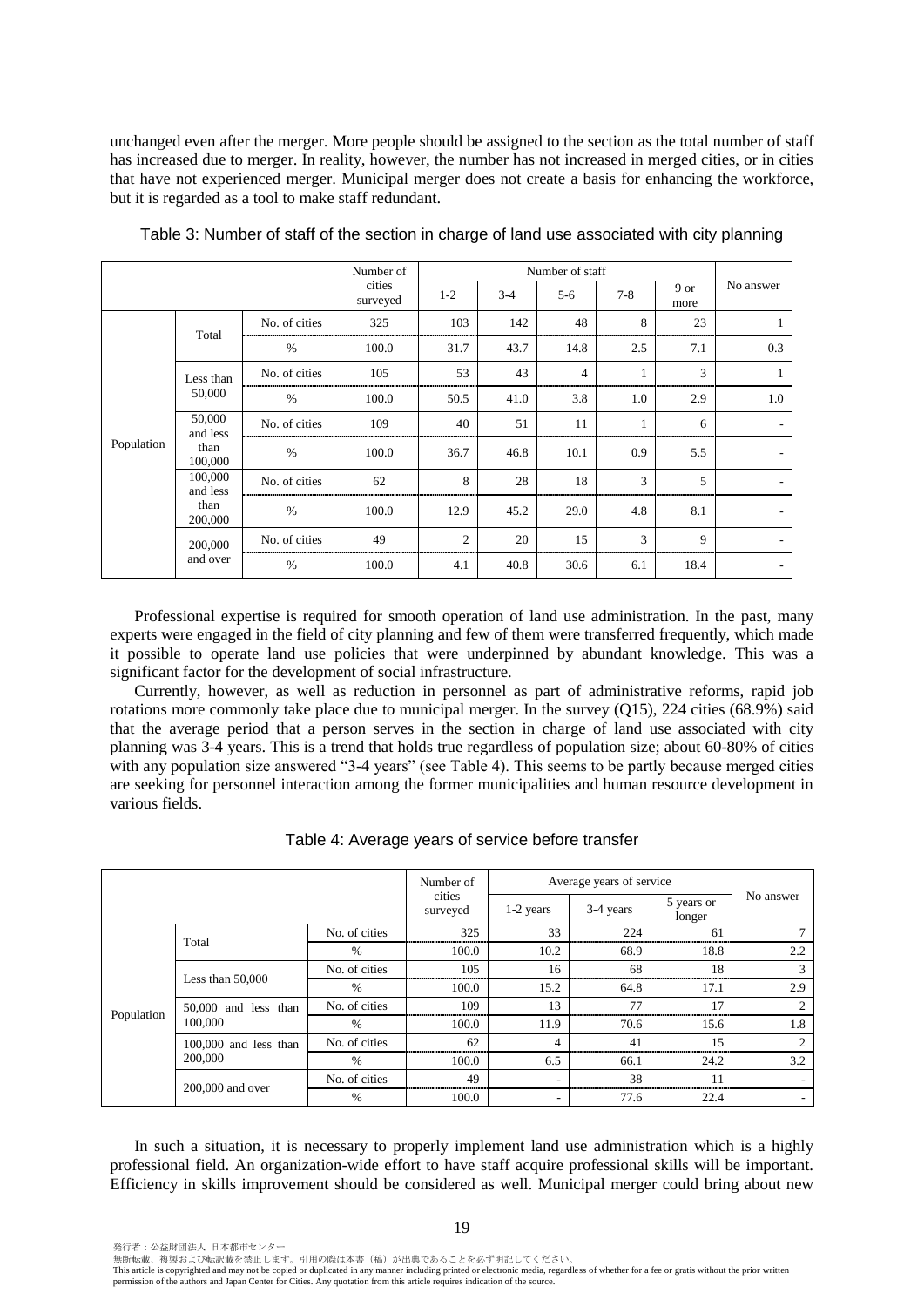unchanged even after the merger. More people should be assigned to the section as the total number of staff has increased due to merger. In reality, however, the number has not increased in merged cities, or in cities that have not experienced merger. Municipal merger does not create a basis for enhancing the workforce, but it is regarded as a tool to make staff redundant.

|            |                                        |               | Number of          |         |       | Number of staff |              |              |                          |
|------------|----------------------------------------|---------------|--------------------|---------|-------|-----------------|--------------|--------------|--------------------------|
|            |                                        |               | cities<br>surveyed | $1 - 2$ | $3-4$ | $5-6$           | $7 - 8$      | 9 or<br>more | No answer                |
|            | Total                                  | No. of cities | 325                | 103     | 142   | 48              | 8            | 23           |                          |
|            |                                        | $\%$          | 100.0              | 31.7    | 43.7  | 14.8            | 2.5          | 7.1          | 0.3                      |
|            | Less than                              | No. of cities | 105                | 53      | 43    | 4               | $\mathbf{1}$ | 3            |                          |
|            | 50,000                                 | $\frac{0}{0}$ | 100.0              | 50.5    | 41.0  | 3.8             | 1.0          | 2.9          | 1.0                      |
|            | 50,000<br>and less                     | No. of cities | 109                | 40      | 51    | 11              | 1            | 6            |                          |
| Population | than<br>100,000                        | $\%$          | 100.0              | 36.7    | 46.8  | 10.1            | 0.9          | 5.5          | $\sim$                   |
|            | 100,000<br>and less<br>than<br>200,000 | No. of cities | 62                 | 8       | 28    | 18              | 3            | 5            | $\overline{\phantom{a}}$ |
|            |                                        | $\frac{0}{0}$ | 100.0              | 12.9    | 45.2  | 29.0            | 4.8          | 8.1          |                          |
|            | 200,000                                | No. of cities | 49                 | 2       | 20    | 15              | 3            | 9            |                          |
|            | and over                               | $\frac{0}{0}$ | 100.0              | 4.1     | 40.8  | 30.6            | 6.1          | 18.4         | $\sim$                   |

Table 3: Number of staff of the section in charge of land use associated with city planning

Professional expertise is required for smooth operation of land use administration. In the past, many experts were engaged in the field of city planning and few of them were transferred frequently, which made it possible to operate land use policies that were underpinned by abundant knowledge. This was a significant factor for the development of social infrastructure.

Currently, however, as well as reduction in personnel as part of administrative reforms, rapid job rotations more commonly take place due to municipal merger. In the survey  $(Q15)$ , 224 cities (68.9%) said that the average period that a person serves in the section in charge of land use associated with city planning was 3-4 years. This is a trend that holds true regardless of population size; about 60-80% of cities with any population size answered "3-4 years" (see Table 4). This seems to be partly because merged cities are seeking for personnel interaction among the former municipalities and human resource development in various fields.

|            |                         |               | Number of          |                          | Average years of service |                      |                          |
|------------|-------------------------|---------------|--------------------|--------------------------|--------------------------|----------------------|--------------------------|
|            |                         |               | cities<br>surveyed | 1-2 years                | 3-4 years                | 5 years or<br>longer | No answer                |
|            | Total                   | No. of cities | 325                | 33                       | 224                      | 61                   |                          |
|            |                         | $\%$          | 100.0              | 10.2                     | 68.9                     | 18.8                 | 2.2                      |
|            | Less than $50,000$      | No. of cities | 105                | 16                       | 68                       | 18                   | 3                        |
|            |                         | $\%$          | 100.0              | 15.2                     | 64.8                     | 17.1                 | 2.9                      |
| Population | 50,000 and less than    | No. of cities | 109                | 13                       | 77                       | 17                   | $\overline{c}$           |
|            | 100,000                 | $\%$          | 100.0              | 11.9                     | 70.6                     | 15.6                 | 1.8                      |
|            | $100,000$ and less than | No. of cities | 62                 | 4                        | 41                       | 15                   | $\overline{c}$           |
|            | 200,000                 | $\%$          | 100.0              | 6.5                      | 66.1                     | 24.2                 | 3.2                      |
|            | 200,000 and over        | No. of cities | 49                 | $\overline{\phantom{a}}$ | 38                       | 11                   | $\sim$                   |
|            |                         | $\%$          | 100.0              | ۰                        | 77.6                     | 22.4                 | $\overline{\phantom{a}}$ |

Table 4: Average years of service before transfer

In such a situation, it is necessary to properly implement land use administration which is a highly professional field. An organization-wide effort to have staff acquire professional skills will be important. Efficiency in skills improvement should be considered as well. Municipal merger could bring about new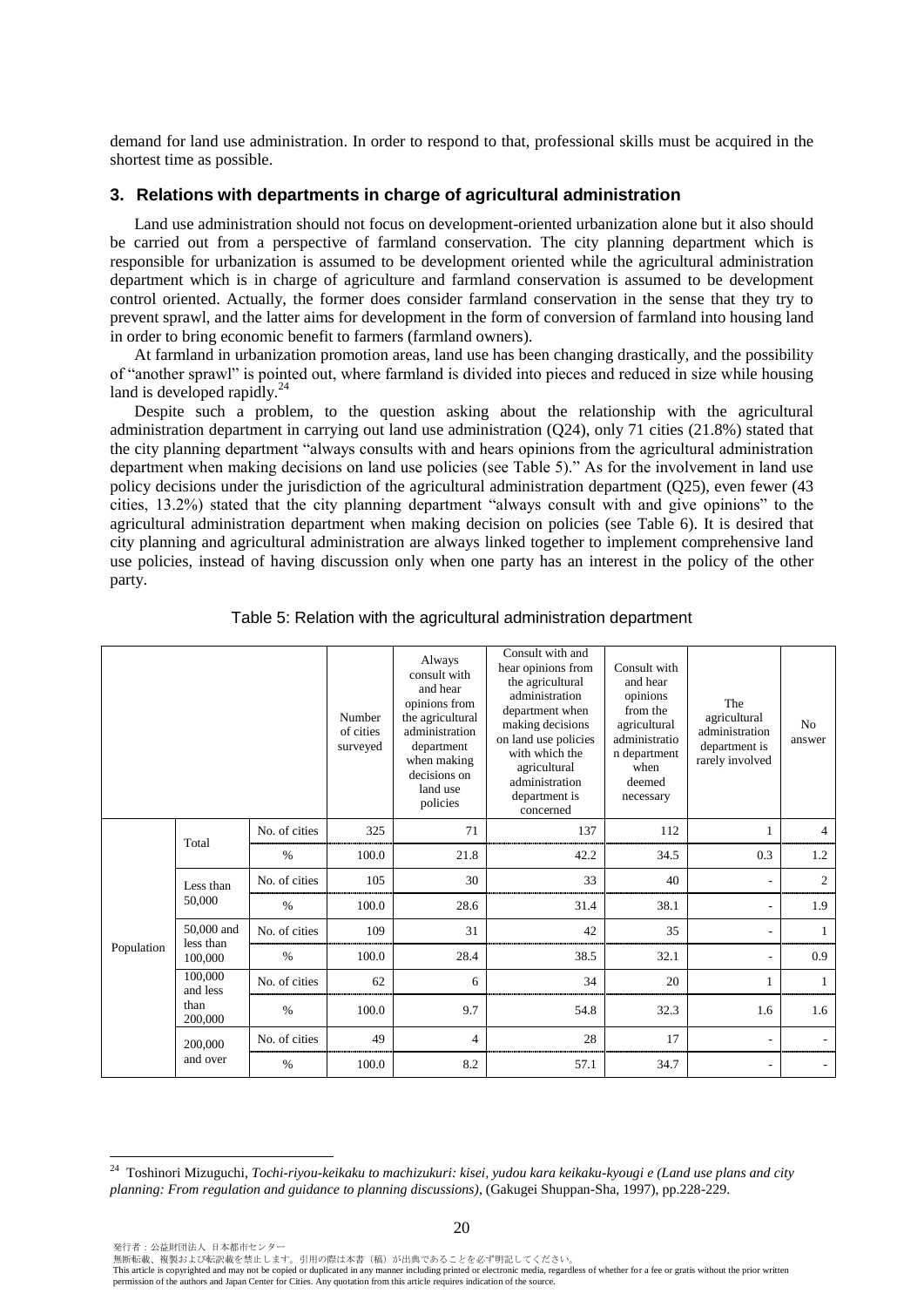demand for land use administration. In order to respond to that, professional skills must be acquired in the shortest time as possible.

## **3. Relations with departments in charge of agricultural administration**

Land use administration should not focus on development-oriented urbanization alone but it also should be carried out from a perspective of farmland conservation. The city planning department which is responsible for urbanization is assumed to be development oriented while the agricultural administration department which is in charge of agriculture and farmland conservation is assumed to be development control oriented. Actually, the former does consider farmland conservation in the sense that they try to prevent sprawl, and the latter aims for development in the form of conversion of farmland into housing land in order to bring economic benefit to farmers (farmland owners).

At farmland in urbanization promotion areas, land use has been changing drastically, and the possibility of "another sprawl" is pointed out, where farmland is divided into pieces and reduced in size while housing land is developed rapidly.<sup>24</sup>

Despite such a problem, to the question asking about the relationship with the agricultural administration department in carrying out land use administration (Q24), only 71 cities (21.8%) stated that the city planning department "always consults with and hears opinions from the agricultural administration department when making decisions on land use policies (see Table 5)." As for the involvement in land use policy decisions under the jurisdiction of the agricultural administration department (Q25), even fewer (43 cities, 13.2%) stated that the city planning department "always consult with and give opinions" to the agricultural administration department when making decision on policies (see Table 6). It is desired that city planning and agricultural administration are always linked together to implement comprehensive land use policies, instead of having discussion only when one party has an interest in the policy of the other party.

|            |                         |               | Number<br>of cities<br>surveyed | Always<br>consult with<br>and hear<br>opinions from<br>the agricultural<br>administration<br>department<br>when making<br>decisions on<br>land use<br>policies | Consult with and<br>hear opinions from<br>the agricultural<br>administration<br>department when<br>making decisions<br>on land use policies<br>with which the<br>agricultural<br>administration<br>department is<br>concerned | Consult with<br>and hear<br>opinions<br>from the<br>agricultural<br>administratio<br>n department<br>when<br>deemed<br>necessary | The<br>agricultural<br>administration<br>department is<br>rarely involved | N <sub>0</sub><br>answer |
|------------|-------------------------|---------------|---------------------------------|----------------------------------------------------------------------------------------------------------------------------------------------------------------|-------------------------------------------------------------------------------------------------------------------------------------------------------------------------------------------------------------------------------|----------------------------------------------------------------------------------------------------------------------------------|---------------------------------------------------------------------------|--------------------------|
|            | Total                   | No. of cities | 325                             | 71                                                                                                                                                             | 137                                                                                                                                                                                                                           | 112                                                                                                                              | 1                                                                         | $\overline{4}$           |
|            |                         | $\frac{0}{0}$ | 100.0                           | 21.8                                                                                                                                                           | 42.2                                                                                                                                                                                                                          | 34.5                                                                                                                             | 0.3                                                                       | 1.2                      |
|            | Less than<br>50,000     | No. of cities | 105                             | 30                                                                                                                                                             | 33                                                                                                                                                                                                                            | 40                                                                                                                               | ٠                                                                         | $\overline{c}$           |
|            |                         | $\%$          | 100.0                           | 28.6                                                                                                                                                           | 31.4                                                                                                                                                                                                                          | 38.1                                                                                                                             | $\overline{\phantom{0}}$                                                  | 1.9                      |
|            | 50,000 and<br>less than | No. of cities | 109                             | 31                                                                                                                                                             | 42                                                                                                                                                                                                                            | 35                                                                                                                               | ٠                                                                         | 1                        |
| Population | 100,000                 | $\%$          | 100.0                           | 28.4                                                                                                                                                           | 38.5                                                                                                                                                                                                                          | 32.1                                                                                                                             | $\overline{\phantom{a}}$                                                  | 0.9                      |
|            | 100,000<br>and less     | No. of cities | 62                              | 6                                                                                                                                                              | 34                                                                                                                                                                                                                            | 20                                                                                                                               | 1                                                                         | $\mathbf{1}$             |
|            | than<br>200,000         | $\%$          | 100.0                           | 9.7                                                                                                                                                            | 54.8                                                                                                                                                                                                                          | 32.3                                                                                                                             | 1.6                                                                       | 1.6                      |
|            | 200,000                 | No. of cities | 49                              | 4                                                                                                                                                              | 28                                                                                                                                                                                                                            | 17                                                                                                                               | $\overline{\phantom{a}}$                                                  |                          |
|            | and over                | $\%$          | 100.0                           | 8.2                                                                                                                                                            | 57.1                                                                                                                                                                                                                          | 34.7                                                                                                                             | $\overline{\phantom{a}}$                                                  |                          |

Table 5: Relation with the agricultural administration department

 $\overline{a}$ 

<sup>24</sup> Toshinori Mizuguchi, *Tochi-riyou-keikaku to machizukuri: kisei, yudou kara keikaku-kyougi e (Land use plans and city planning: From regulation and guidance to planning discussions)*, (Gakugei Shuppan-Sha, 1997), pp.228-229.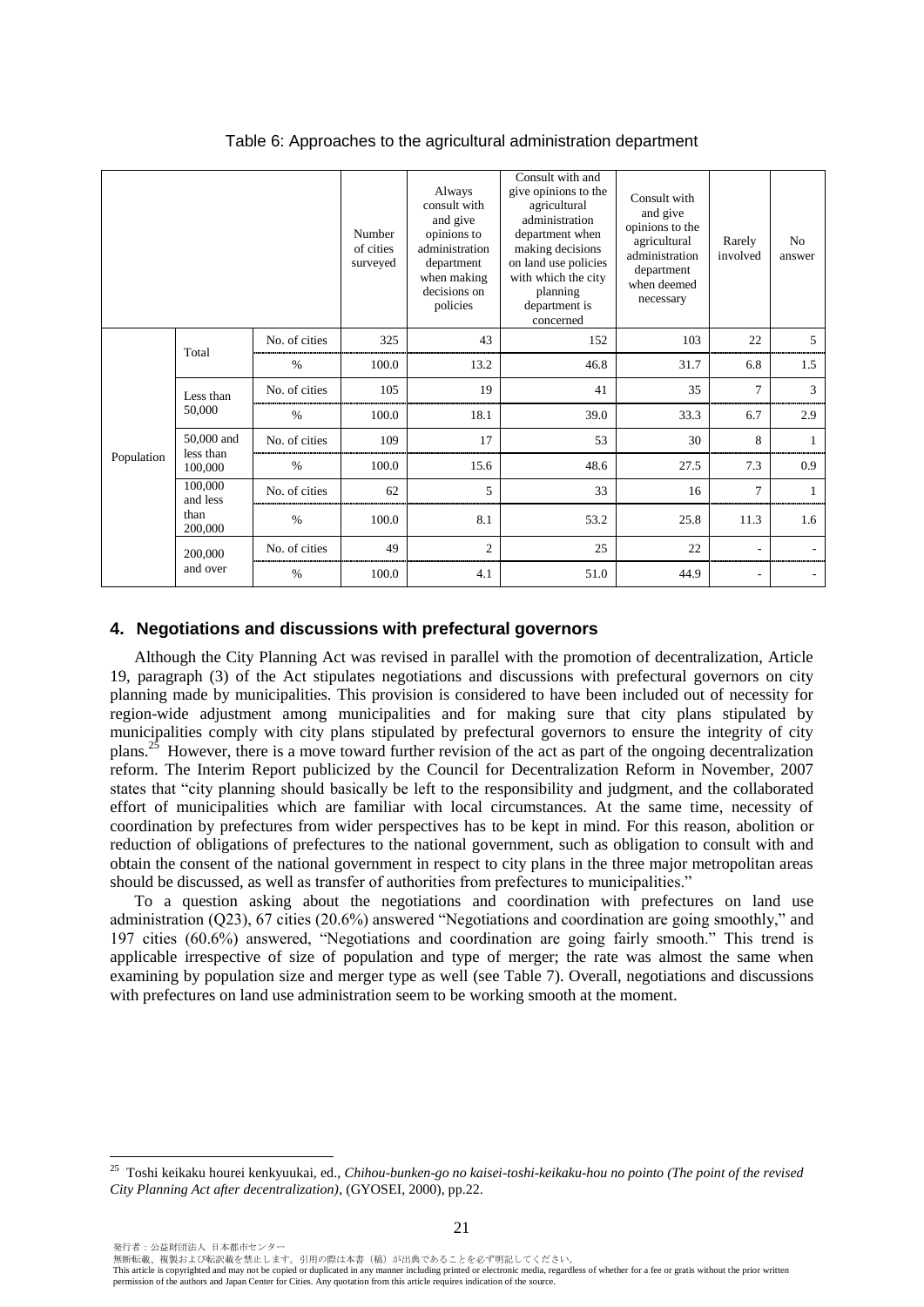|            |                         |               | Number<br>of cities<br>surveyed | Always<br>consult with<br>and give<br>opinions to<br>administration<br>department<br>when making<br>decisions on<br>policies | Consult with and<br>give opinions to the<br>agricultural<br>administration<br>department when<br>making decisions<br>on land use policies<br>with which the city<br>planning<br>department is<br>concerned | Consult with<br>and give<br>opinions to the<br>agricultural<br>administration<br>department<br>when deemed<br>necessary | Rarely<br>involved | N <sub>0</sub><br>answer |
|------------|-------------------------|---------------|---------------------------------|------------------------------------------------------------------------------------------------------------------------------|------------------------------------------------------------------------------------------------------------------------------------------------------------------------------------------------------------|-------------------------------------------------------------------------------------------------------------------------|--------------------|--------------------------|
|            | Total                   | No. of cities | 325                             | 43                                                                                                                           | 152                                                                                                                                                                                                        | 103                                                                                                                     | 22                 | $\overline{5}$           |
|            |                         | $\%$          | 100.0                           | 13.2                                                                                                                         | 46.8                                                                                                                                                                                                       | 31.7                                                                                                                    | 6.8                | 1.5                      |
|            | Less than<br>50,000     | No. of cities | 105                             | 19                                                                                                                           | 41                                                                                                                                                                                                         | 35                                                                                                                      | $\tau$             | 3                        |
|            |                         | $\%$          | 100.0                           | 18.1                                                                                                                         | 39.0                                                                                                                                                                                                       | 33.3                                                                                                                    | 6.7                | 2.9                      |
|            | 50,000 and<br>less than | No. of cities | 109                             | 17                                                                                                                           | 53                                                                                                                                                                                                         | 30                                                                                                                      | 8                  | $\mathbf{1}$             |
| Population | 100,000                 | $\%$          | 100.0                           | 15.6                                                                                                                         | 48.6                                                                                                                                                                                                       | 27.5                                                                                                                    | 7.3                | 0.9                      |
|            | 100,000<br>and less     | No. of cities | 62                              | 5                                                                                                                            | 33                                                                                                                                                                                                         | 16                                                                                                                      | 7                  | 1                        |
|            | than<br>200,000         | $\%$          | 100.0                           | 8.1                                                                                                                          | 53.2                                                                                                                                                                                                       | 25.8                                                                                                                    | 11.3               | 1.6                      |
|            | 200,000                 | No. of cities | 49                              | $\overline{c}$                                                                                                               | 25                                                                                                                                                                                                         | 22                                                                                                                      | ٠                  |                          |
|            | and over                | $\%$          | 100.0                           | 4.1                                                                                                                          | 51.0                                                                                                                                                                                                       | 44.9                                                                                                                    |                    | $\overline{\phantom{a}}$ |

Table 6: Approaches to the agricultural administration department

## **4. Negotiations and discussions with prefectural governors**

Although the City Planning Act was revised in parallel with the promotion of decentralization, Article 19, paragraph (3) of the Act stipulates negotiations and discussions with prefectural governors on city planning made by municipalities. This provision is considered to have been included out of necessity for region-wide adjustment among municipalities and for making sure that city plans stipulated by municipalities comply with city plans stipulated by prefectural governors to ensure the integrity of city plans.<sup>25</sup> However, there is a move toward further revision of the act as part of the ongoing decentralization reform. The Interim Report publicized by the Council for Decentralization Reform in November, 2007 states that "city planning should basically be left to the responsibility and judgment, and the collaborated effort of municipalities which are familiar with local circumstances. At the same time, necessity of coordination by prefectures from wider perspectives has to be kept in mind. For this reason, abolition or reduction of obligations of prefectures to the national government, such as obligation to consult with and obtain the consent of the national government in respect to city plans in the three major metropolitan areas should be discussed, as well as transfer of authorities from prefectures to municipalities."

To a question asking about the negotiations and coordination with prefectures on land use administration (Q23), 67 cities (20.6%) answered "Negotiations and coordination are going smoothly," and 197 cities (60.6%) answered, "Negotiations and coordination are going fairly smooth." This trend is applicable irrespective of size of population and type of merger; the rate was almost the same when examining by population size and merger type as well (see Table 7). Overall, negotiations and discussions with prefectures on land use administration seem to be working smooth at the moment.

 $\overline{a}$ 

無断転載、複製および転訳載を禁止します。引用の際は本書(稿)が出典であることを必ず明記してください。

<sup>25</sup> Toshi keikaku hourei kenkyuukai, ed., *Chihou-bunken-go no kaisei-toshi-keikaku-hou no pointo (The point of the revised City Planning Act after decentralization)*, (GYOSEI, 2000), pp.22.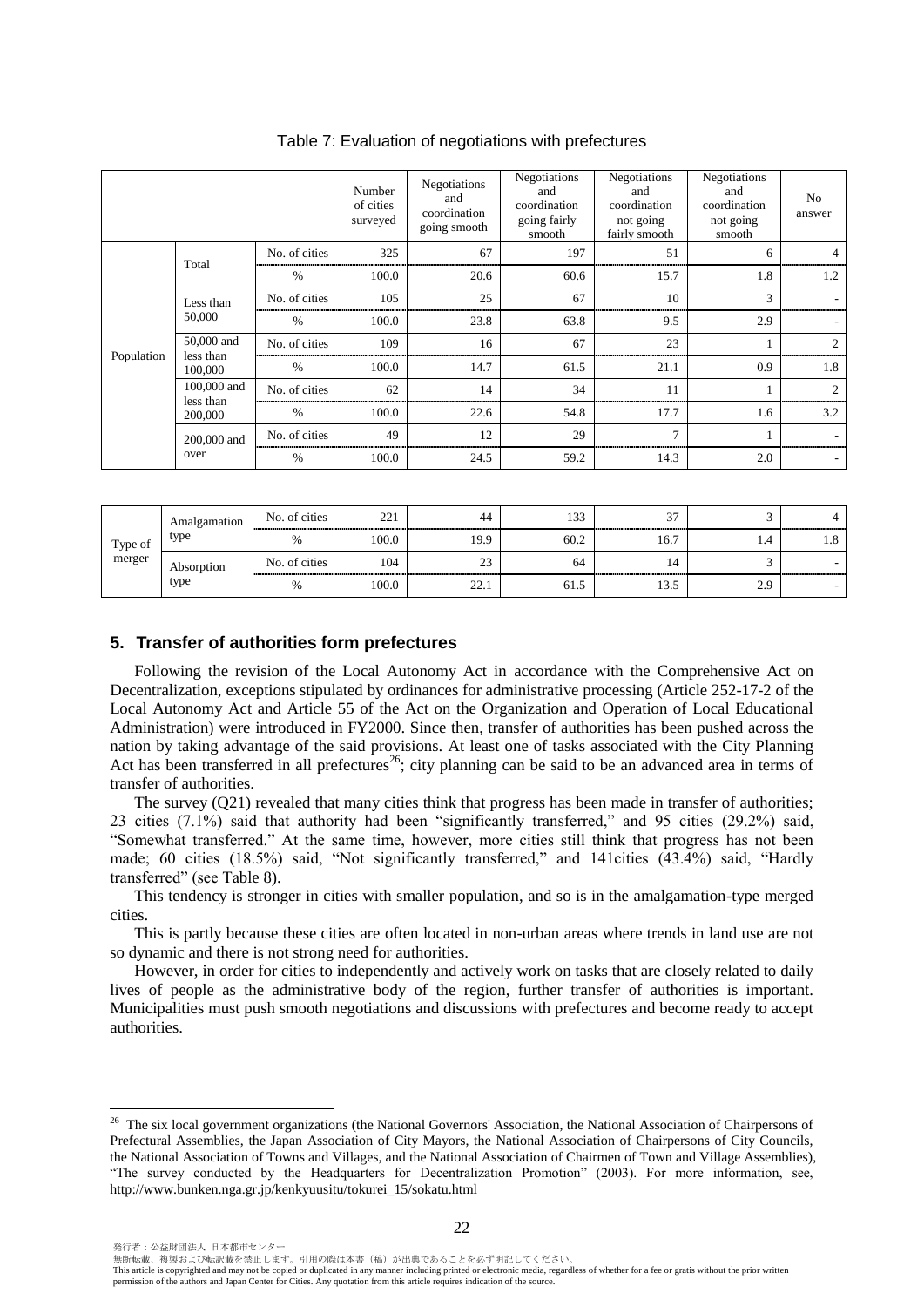|            |                          |               | Number<br>of cities<br>surveyed | Negotiations<br>and<br>coordination<br>going smooth | Negotiations<br>and<br>coordination<br>going fairly<br>smooth | Negotiations<br>and<br>coordination<br>not going<br>fairly smooth | Negotiations<br>and<br>coordination<br>not going<br>smooth | N <sub>o</sub><br>answer |
|------------|--------------------------|---------------|---------------------------------|-----------------------------------------------------|---------------------------------------------------------------|-------------------------------------------------------------------|------------------------------------------------------------|--------------------------|
|            | Total                    | No. of cities | 325                             | 67                                                  | 197                                                           | 51                                                                | 6                                                          | 4                        |
|            |                          | $\%$          | 100.0                           | 20.6                                                | 60.6                                                          | 15.7                                                              | 1.8                                                        | 1.2                      |
|            | Less than                | No. of cities | 105                             | 25                                                  | 67                                                            | 10                                                                | 3                                                          |                          |
|            | 50,000                   | $\frac{0}{0}$ | 100.0                           | 23.8                                                | 63.8                                                          | 9.5                                                               | 2.9                                                        | $\overline{\phantom{a}}$ |
| Population | 50,000 and<br>less than  | No. of cities | 109                             | 16                                                  | 67                                                            | 23                                                                |                                                            | $\mathfrak{D}$           |
|            | 100,000                  | $\%$          | 100.0                           | 14.7                                                | 61.5                                                          | 21.1                                                              | 0.9                                                        | 1.8                      |
|            | 100,000 and<br>less than | No. of cities | 62                              | 14                                                  | 34                                                            | 11                                                                |                                                            | $\mathfrak{D}$           |
|            | 200,000                  | $\%$          | 100.0                           | 22.6                                                | 54.8                                                          | 17.7                                                              | 1.6                                                        | 3.2                      |
|            | 200,000 and              | No. of cities | 49                              | 12                                                  | 29                                                            | $\mathcal{I}$                                                     |                                                            |                          |
|            | over                     | $\frac{0}{0}$ | 100.0                           | 24.5                                                | 59.2                                                          | 14.3                                                              | 2.0                                                        | $\sim$                   |

Table 7: Evaluation of negotiations with prefectures

| Type of<br>merger | Amalgamation       | No. of cities | 221   | 44                | 133  | $\sim$ |     |  |
|-------------------|--------------------|---------------|-------|-------------------|------|--------|-----|--|
|                   | type               | $\frac{0}{0}$ | 100.0 | 19.9              | 60.2 | 16.7   | 1.4 |  |
|                   | Absorption<br>type | No. of cities | 104   | $\cap$<br>23<br>. | 64   |        |     |  |
|                   |                    | $\%$          | 100.0 | 22.1              | 61.J | 19.J   | 2.9 |  |

#### **5. Transfer of authorities form prefectures**

Following the revision of the Local Autonomy Act in accordance with the Comprehensive Act on Decentralization, exceptions stipulated by ordinances for administrative processing (Article 252-17-2 of the Local Autonomy Act and Article 55 of the Act on the Organization and Operation of Local Educational Administration) were introduced in FY2000. Since then, transfer of authorities has been pushed across the nation by taking advantage of the said provisions. At least one of tasks associated with the City Planning Act has been transferred in all prefectures<sup>26</sup>; city planning can be said to be an advanced area in terms of transfer of authorities.

The survey (Q21) revealed that many cities think that progress has been made in transfer of authorities; 23 cities (7.1%) said that authority had been "significantly transferred," and 95 cities (29.2%) said, "Somewhat transferred." At the same time, however, more cities still think that progress has not been made; 60 cities (18.5%) said, "Not significantly transferred," and 141cities (43.4%) said, "Hardly transferred" (see Table 8).

This tendency is stronger in cities with smaller population, and so is in the amalgamation-type merged cities.

This is partly because these cities are often located in non-urban areas where trends in land use are not so dynamic and there is not strong need for authorities.

However, in order for cities to independently and actively work on tasks that are closely related to daily lives of people as the administrative body of the region, further transfer of authorities is important. Municipalities must push smooth negotiations and discussions with prefectures and become ready to accept authorities.

 $\overline{a}$ 

無断転載、複製および転訳載を禁止します。引用の際は本書(稿)が出典であることを必ず明記してください。

<sup>&</sup>lt;sup>26</sup> The six local government organizations (the National Governors' Association, the National Association of Chairpersons of Prefectural Assemblies, the Japan Association of City Mayors, the National Association of Chairpersons of City Councils, the National Association of Towns and Villages, and the National Association of Chairmen of Town and Village Assemblies), "The survey conducted by the Headquarters for Decentralization Promotion" (2003). For more information, see, http://www.bunken.nga.gr.jp/kenkyuusitu/tokurei\_15/sokatu.html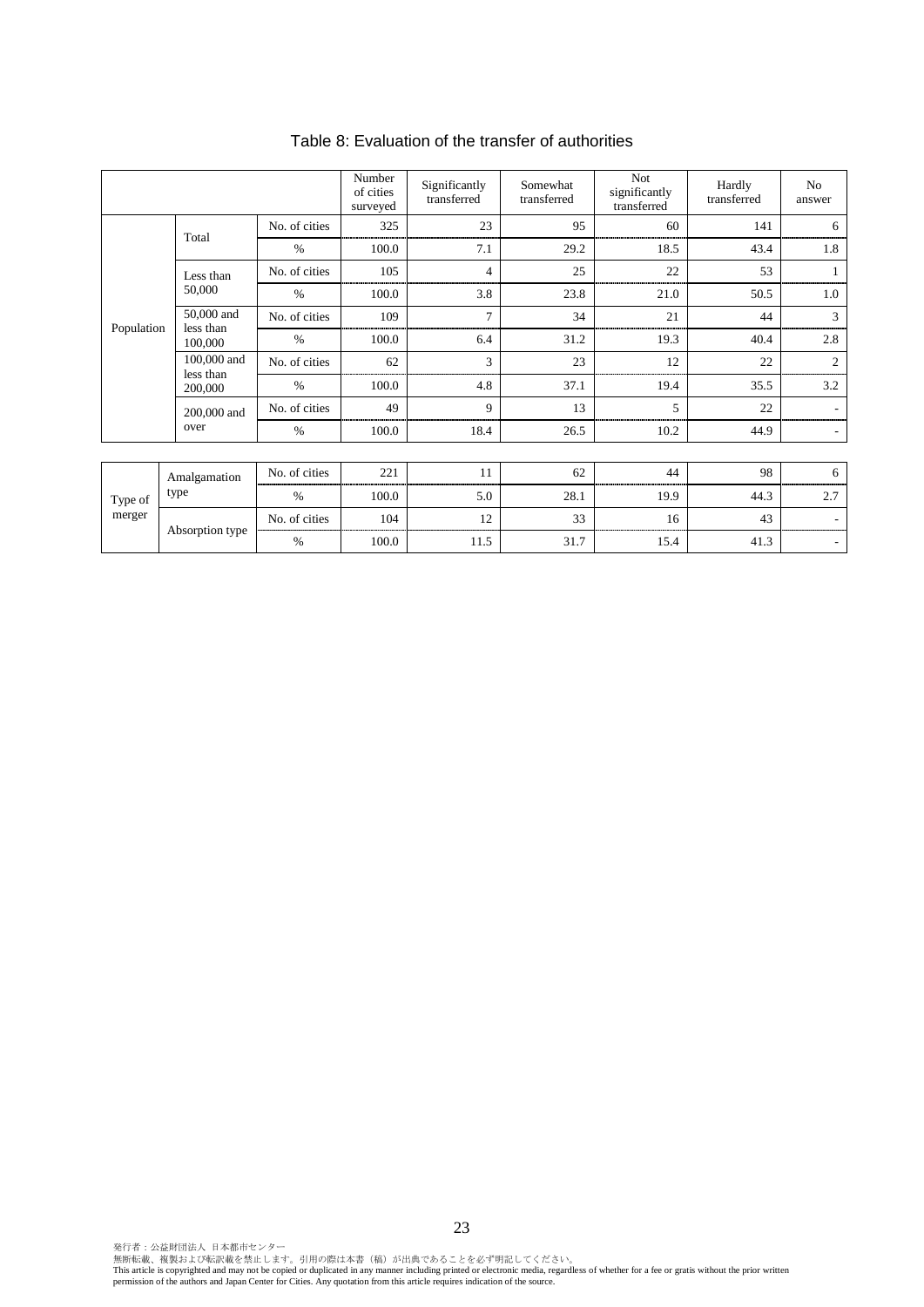|                   |                          |               | Number<br>of cities<br>surveyed | Significantly<br>transferred | Somewhat<br>transferred | <b>Not</b><br>significantly<br>transferred | Hardly<br>transferred | No<br>answer |
|-------------------|--------------------------|---------------|---------------------------------|------------------------------|-------------------------|--------------------------------------------|-----------------------|--------------|
| Population        | Total                    | No. of cities | 325                             | 23                           | 95                      | 60                                         | 141                   | 6            |
|                   |                          | $\%$          | 100.0                           | 7.1                          | 29.2                    | 18.5                                       | 43.4                  | 1.8          |
|                   | Less than                | No. of cities | 105                             | $\overline{4}$               | 25                      | 22                                         | 53                    |              |
|                   | 50,000                   | $\%$          | 100.0                           | 3.8                          | 23.8                    | 21.0                                       | 50.5                  | 1.0          |
|                   | 50,000 and<br>less than  | No. of cities | 109                             | $\overline{7}$               | 34                      | 21                                         | 44                    | 3            |
|                   | 100,000                  | $\%$          | 100.0                           | 6.4                          | 31.2                    | 19.3                                       | 40.4                  | 2.8          |
|                   | 100,000 and<br>less than | No. of cities | 62                              | 3                            | 23                      | 12                                         | 22                    | 2            |
|                   | 200,000                  | $\%$          | 100.0                           | 4.8                          | 37.1                    | 19.4                                       | 35.5                  | 3.2          |
|                   | 200,000 and              | No. of cities | 49                              | $\mathbf Q$                  | 13                      | 5                                          | 22                    |              |
|                   | over                     | $\%$          | 100.0                           | 18.4                         | 26.5                    | 10.2                                       | 44.9                  |              |
|                   |                          |               |                                 |                              |                         |                                            |                       |              |
| Type of<br>merger | Amalgamation<br>type     | No. of cities | 221                             | 11                           | 62                      | 44                                         | 98                    | 6            |
|                   |                          | $\%$          | 100.0                           | 5.0                          | 28.1                    | 19.9                                       | 44.3                  | 2.7          |
|                   | Absorption type          | No. of cities | 104                             | 12                           | 33                      | 16                                         | 43                    |              |
|                   |                          | $\%$          | 100.0                           | 11.5                         | 31.7                    | 15.4                                       | 41.3                  |              |

## Table 8: Evaluation of the transfer of authorities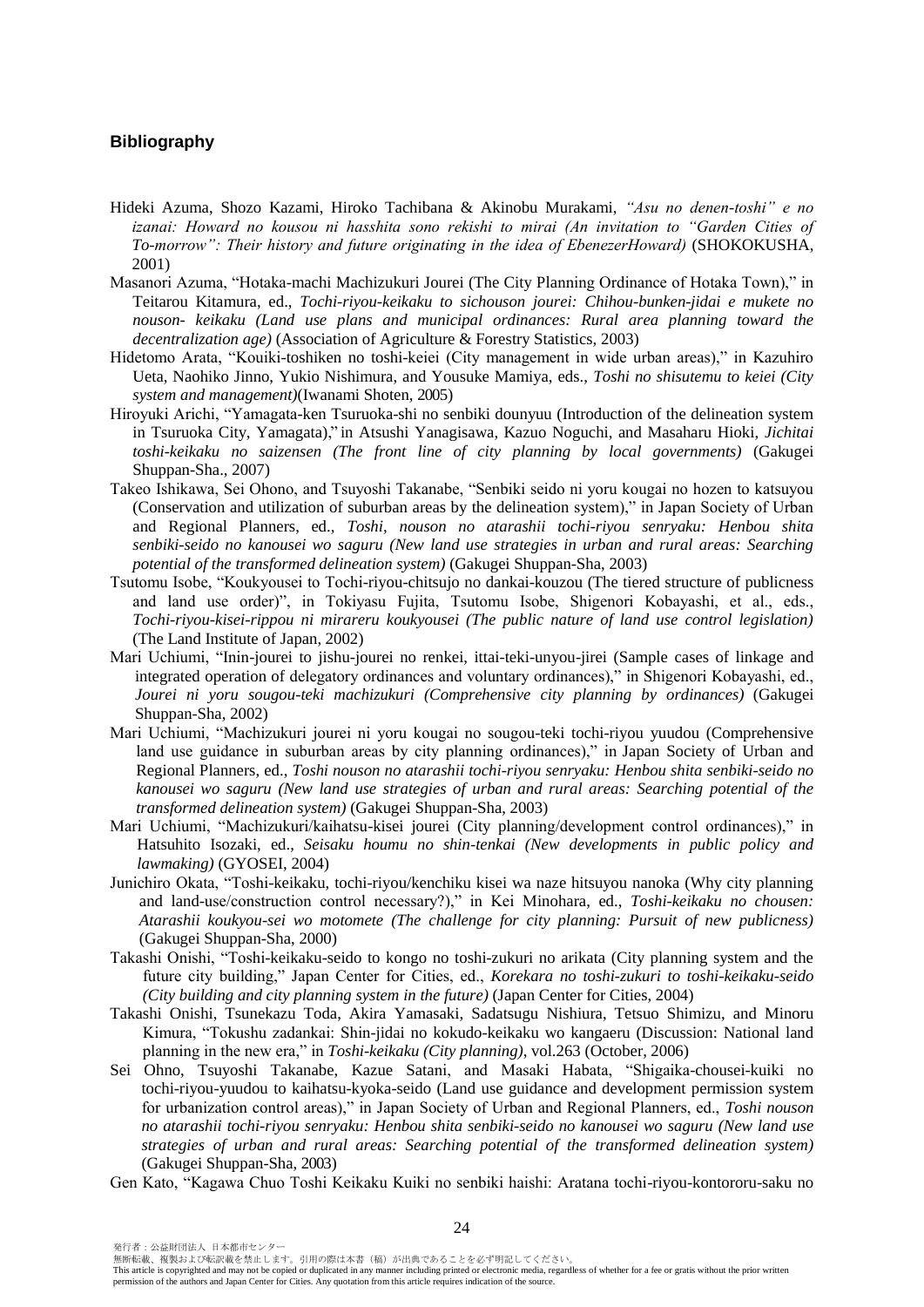## **Bibliography**

- Hideki Azuma, Shozo Kazami, Hiroko Tachibana & Akinobu Murakami, *"Asu no denen-toshi" e no izanai: Howard no kousou ni hasshita sono rekishi to mirai (An invitation to "Garden Cities of To-morrow": Their history and future originating in the idea of EbenezerHoward)* (SHOKOKUSHA, 2001)
- Masanori Azuma, "Hotaka-machi Machizukuri Jourei (The City Planning Ordinance of Hotaka Town)," in Teitarou Kitamura, ed., *Tochi-riyou-keikaku to sichouson jourei: Chihou-bunken-jidai e mukete no nouson- keikaku (Land use plans and municipal ordinances: Rural area planning toward the decentralization age)* (Association of Agriculture & Forestry Statistics, 2003)
- Hidetomo Arata, "Kouiki-toshiken no toshi-keiei (City management in wide urban areas)," in Kazuhiro Ueta, Naohiko Jinno, Yukio Nishimura, and Yousuke Mamiya, eds., *Toshi no shisutemu to keiei (City system and management)*(Iwanami Shoten, 2005)
- Hiroyuki Arichi, "Yamagata-ken Tsuruoka-shi no senbiki dounyuu (Introduction of the delineation system in Tsuruoka City, Yamagata)," in Atsushi Yanagisawa, Kazuo Noguchi, and Masaharu Hioki, *Jichitai toshi-keikaku no saizensen (The front line of city planning by local governments)* (Gakugei Shuppan-Sha., 2007)
- Takeo Ishikawa, Sei Ohono, and Tsuyoshi Takanabe, "Senbiki seido ni yoru kougai no hozen to katsuyou (Conservation and utilization of suburban areas by the delineation system)," in Japan Society of Urban and Regional Planners, ed., *Toshi, nouson no atarashii tochi-riyou senryaku: Henbou shita senbiki-seido no kanousei wo saguru (New land use strategies in urban and rural areas: Searching potential of the transformed delineation system)* (Gakugei Shuppan-Sha, 2003)
- Tsutomu Isobe, "Koukyousei to Tochi-riyou-chitsujo no dankai-kouzou (The tiered structure of publicness and land use order)", in Tokiyasu Fujita, Tsutomu Isobe, Shigenori Kobayashi, et al., eds., *Tochi-riyou-kisei-rippou ni mirareru koukyousei (The public nature of land use control legislation)*  (The Land Institute of Japan, 2002)
- Mari Uchiumi, "Inin-jourei to jishu-jourei no renkei, ittai-teki-unyou-jirei (Sample cases of linkage and integrated operation of delegatory ordinances and voluntary ordinances)," in Shigenori Kobayashi, ed., *Jourei ni yoru sougou-teki machizukuri (Comprehensive city planning by ordinances)* (Gakugei Shuppan-Sha, 2002)
- Mari Uchiumi, "Machizukuri jourei ni yoru kougai no sougou-teki tochi-riyou yuudou (Comprehensive land use guidance in suburban areas by city planning ordinances)," in Japan Society of Urban and Regional Planners, ed., *Toshi nouson no atarashii tochi-riyou senryaku: Henbou shita senbiki-seido no kanousei wo saguru (New land use strategies of urban and rural areas: Searching potential of the transformed delineation system)* (Gakugei Shuppan-Sha, 2003)
- Mari Uchiumi, "Machizukuri/kaihatsu-kisei jourei (City planning/development control ordinances)," in Hatsuhito Isozaki, ed., *Seisaku houmu no shin-tenkai (New developments in public policy and lawmaking)* (GYOSEI, 2004)
- Junichiro Okata, "Toshi-keikaku, tochi-riyou/kenchiku kisei wa naze hitsuyou nanoka (Why city planning and land-use/construction control necessary?)," in Kei Minohara, ed., *Toshi-keikaku no chousen: Atarashii koukyou-sei wo motomete (The challenge for city planning: Pursuit of new publicness)* (Gakugei Shuppan-Sha, 2000)
- Takashi Onishi, "Toshi-keikaku-seido to kongo no toshi-zukuri no arikata (City planning system and the future city building," Japan Center for Cities, ed., *Korekara no toshi-zukuri to toshi-keikaku-seido (City building and city planning system in the future)* (Japan Center for Cities, 2004)
- Takashi Onishi, Tsunekazu Toda, Akira Yamasaki, Sadatsugu Nishiura, Tetsuo Shimizu, and Minoru Kimura, "Tokushu zadankai: Shin-jidai no kokudo-keikaku wo kangaeru (Discussion: National land planning in the new era," in *Toshi-keikaku (City planning)*, vol.263 (October, 2006)
- Sei Ohno, Tsuyoshi Takanabe, Kazue Satani, and Masaki Habata, "Shigaika-chousei-kuiki no tochi-riyou-yuudou to kaihatsu-kyoka-seido (Land use guidance and development permission system for urbanization control areas)," in Japan Society of Urban and Regional Planners, ed., *Toshi nouson no atarashii tochi-riyou senryaku: Henbou shita senbiki-seido no kanousei wo saguru (New land use strategies of urban and rural areas: Searching potential of the transformed delineation system)* (Gakugei Shuppan-Sha, 2003)
- Gen Kato, "Kagawa Chuo Toshi Keikaku Kuiki no senbiki haishi: Aratana tochi-riyou-kontororu-saku no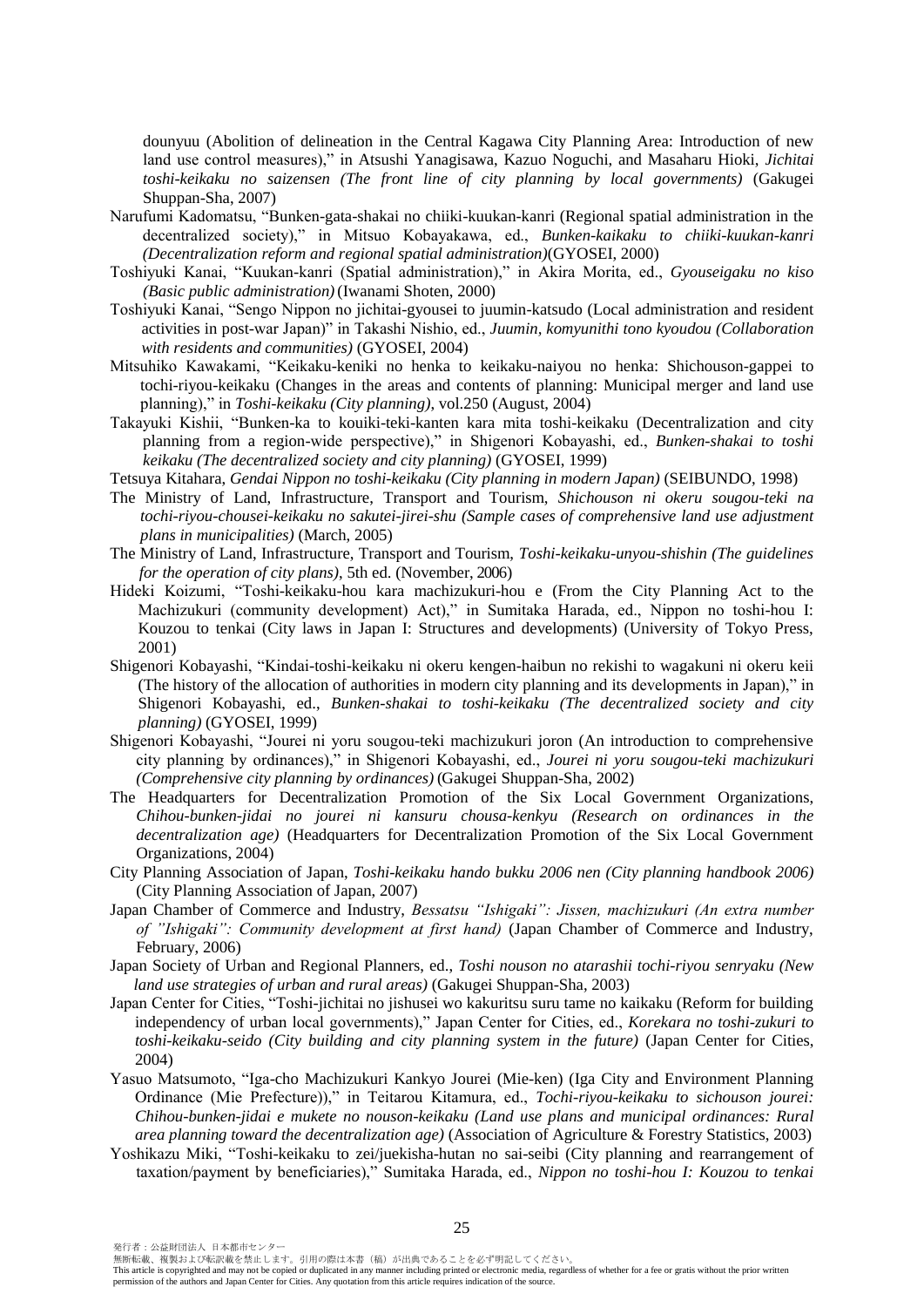dounyuu (Abolition of delineation in the Central Kagawa City Planning Area: Introduction of new land use control measures)," in Atsushi Yanagisawa, Kazuo Noguchi, and Masaharu Hioki, *Jichitai toshi-keikaku no saizensen (The front line of city planning by local governments)* (Gakugei Shuppan-Sha, 2007)

- Narufumi Kadomatsu, "Bunken-gata-shakai no chiiki-kuukan-kanri (Regional spatial administration in the decentralized society)," in Mitsuo Kobayakawa, ed., *Bunken-kaikaku to chiiki-kuukan-kanri (Decentralization reform and regional spatial administration)*(GYOSEI, 2000)
- Toshiyuki Kanai, "Kuukan-kanri (Spatial administration)," in Akira Morita, ed., *Gyouseigaku no kiso (Basic public administration)*(Iwanami Shoten, 2000)
- Toshiyuki Kanai, "Sengo Nippon no jichitai-gyousei to juumin-katsudo (Local administration and resident activities in post-war Japan)" in Takashi Nishio, ed., *Juumin, komyunithi tono kyoudou (Collaboration with residents and communities)* (GYOSEI, 2004)
- Mitsuhiko Kawakami, "Keikaku-keniki no henka to keikaku-naiyou no henka: Shichouson-gappei to tochi-riyou-keikaku (Changes in the areas and contents of planning: Municipal merger and land use planning)," in *Toshi-keikaku (City planning)*, vol.250 (August, 2004)
- Takayuki Kishii, "Bunken-ka to kouiki-teki-kanten kara mita toshi-keikaku (Decentralization and city planning from a region-wide perspective)," in Shigenori Kobayashi, ed., *Bunken-shakai to toshi keikaku (The decentralized society and city planning)* (GYOSEI, 1999)
- Tetsuya Kitahara, *Gendai Nippon no toshi-keikaku (City planning in modern Japan)* (SEIBUNDO, 1998)
- The Ministry of Land, Infrastructure, Transport and Tourism, *Shichouson ni okeru sougou-teki na tochi-riyou-chousei-keikaku no sakutei-jirei-shu (Sample cases of comprehensive land use adjustment plans in municipalities)* (March, 2005)
- The Ministry of Land, Infrastructure, Transport and Tourism, *Toshi-keikaku-unyou-shishin (The guidelines for the operation of city plans)*, 5th ed. (November, 2006)
- Hideki Koizumi, "Toshi-keikaku-hou kara machizukuri-hou e (From the City Planning Act to the Machizukuri (community development) Act)," in Sumitaka Harada, ed., Nippon no toshi-hou I: Kouzou to tenkai (City laws in Japan I: Structures and developments) (University of Tokyo Press, 2001)
- Shigenori Kobayashi, "Kindai-toshi-keikaku ni okeru kengen-haibun no rekishi to wagakuni ni okeru keii (The history of the allocation of authorities in modern city planning and its developments in Japan)," in Shigenori Kobayashi, ed., *Bunken-shakai to toshi-keikaku (The decentralized society and city planning)* (GYOSEI, 1999)
- Shigenori Kobayashi, "Jourei ni yoru sougou-teki machizukuri joron (An introduction to comprehensive city planning by ordinances)," in Shigenori Kobayashi, ed., *Jourei ni yoru sougou-teki machizukuri (Comprehensive city planning by ordinances)* (Gakugei Shuppan-Sha, 2002)
- The Headquarters for Decentralization Promotion of the Six Local Government Organizations, *Chihou-bunken-jidai no jourei ni kansuru chousa-kenkyu (Research on ordinances in the decentralization age)* (Headquarters for Decentralization Promotion of the Six Local Government Organizations, 2004)
- City Planning Association of Japan, *Toshi-keikaku hando bukku 2006 nen (City planning handbook 2006)* (City Planning Association of Japan, 2007)
- Japan Chamber of Commerce and Industry, *Bessatsu "Ishigaki": Jissen, machizukuri (An extra number of "Ishigaki": Community development at first hand)* (Japan Chamber of Commerce and Industry, February, 2006)
- Japan Society of Urban and Regional Planners, ed., *Toshi nouson no atarashii tochi-riyou senryaku (New land use strategies of urban and rural areas)* (Gakugei Shuppan-Sha, 2003)
- Japan Center for Cities, "Toshi-jichitai no jishusei wo kakuritsu suru tame no kaikaku (Reform for building independency of urban local governments)," Japan Center for Cities, ed., *Korekara no toshi-zukuri to toshi-keikaku-seido (City building and city planning system in the future)* (Japan Center for Cities, 2004)
- Yasuo Matsumoto, "Iga-cho Machizukuri Kankyo Jourei (Mie-ken) (Iga City and Environment Planning Ordinance (Mie Prefecture))," in Teitarou Kitamura, ed., *Tochi-riyou-keikaku to sichouson jourei: Chihou-bunken-jidai e mukete no nouson-keikaku (Land use plans and municipal ordinances: Rural area planning toward the decentralization age)* (Association of Agriculture & Forestry Statistics, 2003)
- Yoshikazu Miki, "Toshi-keikaku to zei/juekisha-hutan no sai-seibi (City planning and rearrangement of taxation/payment by beneficiaries)," Sumitaka Harada, ed., *Nippon no toshi-hou I: Kouzou to tenkai*

無断転載、複製および転訳載を禁止します。引用の際は本書(稿)が出典であることを必ず明記してください。